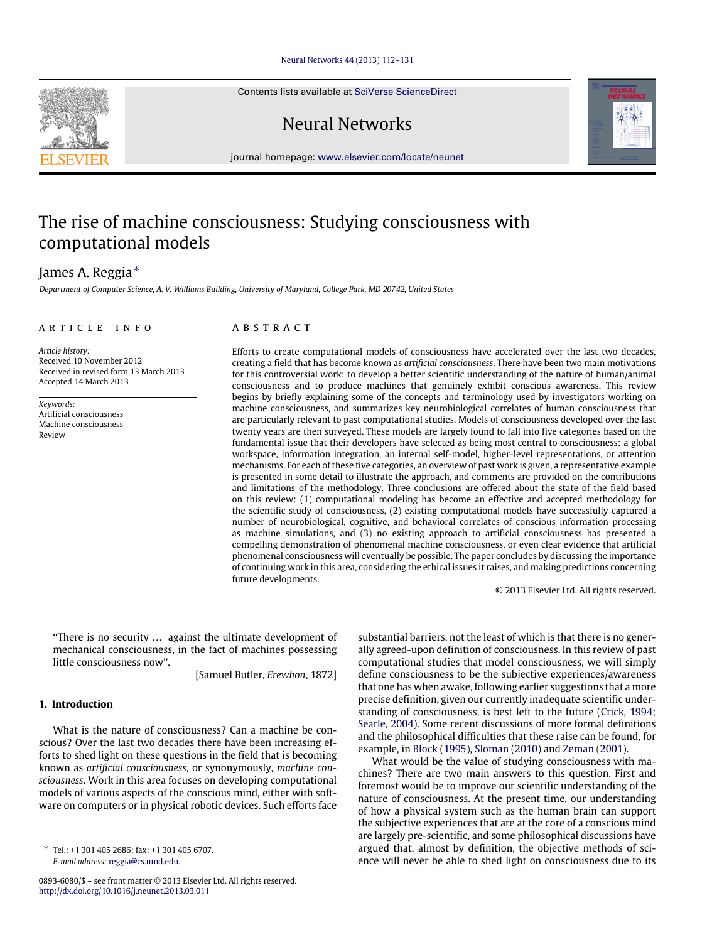# [Neural Networks 44 \(2013\) 112–131](http://dx.doi.org/10.1016/j.neunet.2013.03.011)

Contents lists available at [SciVerse ScienceDirect](http://www.elsevier.com/locate/neunet)

Neural Networks

journal homepage: [www.elsevier.com/locate/neunet](http://www.elsevier.com/locate/neunet)

# The rise of machine consciousness: Studying consciousness with computational models

# James A. Reggia [∗](#page-0-0)

*Department of Computer Science, A. V. Williams Building, University of Maryland, College Park, MD 20742, United States*

#### ARTICLE INFO

*Article history:* Received 10 November 2012 Received in revised form 13 March 2013 Accepted 14 March 2013

*Keywords:* Artificial consciousness Machine consciousness Review

# a b s t r a c t

Efforts to create computational models of consciousness have accelerated over the last two decades, creating a field that has become known as *artificial consciousness*. There have been two main motivations for this controversial work: to develop a better scientific understanding of the nature of human/animal consciousness and to produce machines that genuinely exhibit conscious awareness. This review begins by briefly explaining some of the concepts and terminology used by investigators working on machine consciousness, and summarizes key neurobiological correlates of human consciousness that are particularly relevant to past computational studies. Models of consciousness developed over the last twenty years are then surveyed. These models are largely found to fall into five categories based on the fundamental issue that their developers have selected as being most central to consciousness: a global workspace, information integration, an internal self-model, higher-level representations, or attention mechanisms. For each of these five categories, an overview of past work is given, a representative example is presented in some detail to illustrate the approach, and comments are provided on the contributions and limitations of the methodology. Three conclusions are offered about the state of the field based on this review: (1) computational modeling has become an effective and accepted methodology for the scientific study of consciousness, (2) existing computational models have successfully captured a number of neurobiological, cognitive, and behavioral correlates of conscious information processing as machine simulations, and (3) no existing approach to artificial consciousness has presented a compelling demonstration of phenomenal machine consciousness, or even clear evidence that artificial phenomenal consciousness will eventually be possible. The paper concludes by discussing the importance of continuing work in this area, considering the ethical issues it raises, and making predictions concerning future developments.

© 2013 Elsevier Ltd. All rights reserved.

''There is no security . . . against the ultimate development of mechanical consciousness, in the fact of machines possessing little consciousness now''.

[Samuel Butler, *Erewhon*, 1872]

# **1. Introduction**

What is the nature of consciousness? Can a machine be conscious? Over the last two decades there have been increasing efforts to shed light on these questions in the field that is becoming known as *artificial consciousness*, or synonymously, *machine consciousness*. Work in this area focuses on developing computational models of various aspects of the conscious mind, either with software on computers or in physical robotic devices. Such efforts face substantial barriers, not the least of which is that there is no generally agreed-upon definition of consciousness. In this review of past computational studies that model consciousness, we will simply define consciousness to be the subjective experiences/awareness that one has when awake, following earlier suggestions that a more precise definition, given our currently inadequate scientific understanding of consciousness, is best left to the future [\(Crick,](#page-17-0) [1994;](#page-17-0) [Searle,](#page-19-0) [2004\)](#page-19-0). Some recent discussions of more formal definitions and the philosophical difficulties that these raise can be found, for example, in [Block](#page-17-1) [\(1995\)](#page-17-1), [Sloman](#page-19-1) [\(2010\)](#page-19-1) and [Zeman](#page-19-2) [\(2001\)](#page-19-2).

What would be the value of studying consciousness with machines? There are two main answers to this question. First and foremost would be to improve our scientific understanding of the nature of consciousness. At the present time, our understanding of how a physical system such as the human brain can support the subjective experiences that are at the core of a conscious mind are largely pre-scientific, and some philosophical discussions have argued that, almost by definition, the objective methods of science will never be able to shed light on consciousness due to its





<span id="page-0-0"></span><sup>∗</sup> Tel.: +1 301 405 2686; fax: +1 301 405 6707. *E-mail address:* [reggia@cs.umd.edu.](mailto:reggia@cs.umd.edu)

<sup>0893-6080/\$ –</sup> see front matter © 2013 Elsevier Ltd. All rights reserved. <http://dx.doi.org/10.1016/j.neunet.2013.03.011>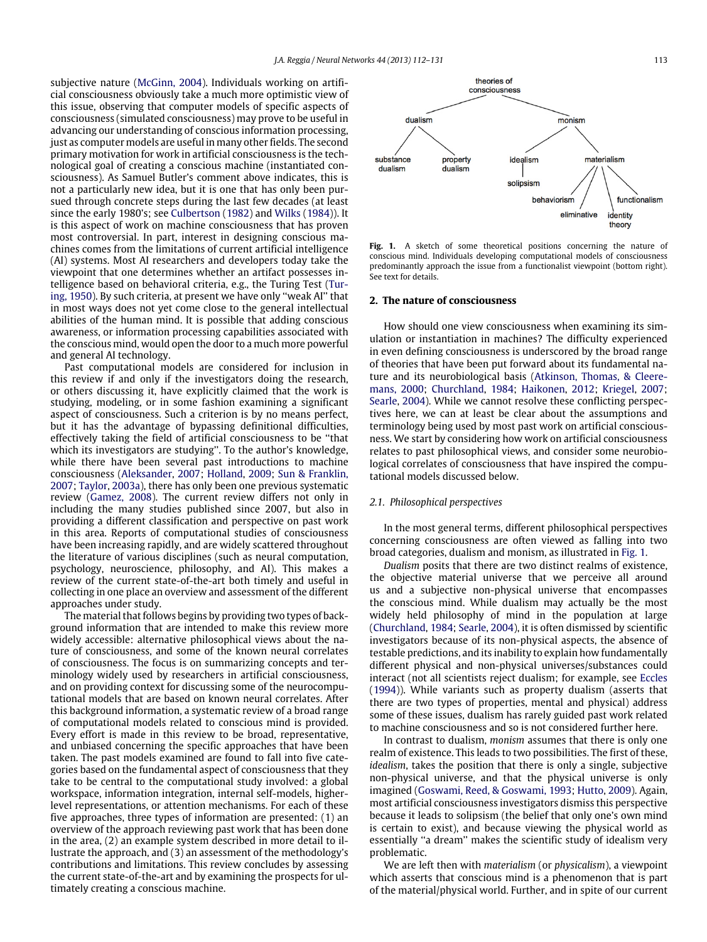subjective nature [\(McGinn,](#page-18-0) [2004\)](#page-18-0). Individuals working on artificial consciousness obviously take a much more optimistic view of this issue, observing that computer models of specific aspects of consciousness (simulated consciousness) may prove to be useful in advancing our understanding of conscious information processing, just as computer models are useful in many other fields. The second primary motivation for work in artificial consciousness is the technological goal of creating a conscious machine (instantiated consciousness). As Samuel Butler's comment above indicates, this is not a particularly new idea, but it is one that has only been pursued through concrete steps during the last few decades (at least since the early 1980's; see [Culbertson](#page-17-2) [\(1982\)](#page-17-2) and [Wilks](#page-19-3) [\(1984\)](#page-19-3)). It is this aspect of work on machine consciousness that has proven most controversial. In part, interest in designing conscious machines comes from the limitations of current artificial intelligence (AI) systems. Most AI researchers and developers today take the viewpoint that one determines whether an artifact possesses in[t](#page-19-4)elligence based on behavioral criteria, e.g., the Turing Test [\(Tur](#page-19-4)[ing,](#page-19-4) [1950\)](#page-19-4). By such criteria, at present we have only ''weak AI'' that in most ways does not yet come close to the general intellectual abilities of the human mind. It is possible that adding conscious awareness, or information processing capabilities associated with the conscious mind, would open the door to a much more powerful and general AI technology.

Past computational models are considered for inclusion in this review if and only if the investigators doing the research, or others discussing it, have explicitly claimed that the work is studying, modeling, or in some fashion examining a significant aspect of consciousness. Such a criterion is by no means perfect, but it has the advantage of bypassing definitional difficulties, effectively taking the field of artificial consciousness to be ''that which its investigators are studying''. To the author's knowledge, while there have been several past introductions to machine consciousness [\(Aleksander,](#page-17-3) [2007;](#page-17-3) [Holland,](#page-18-1) [2009;](#page-18-1) [Sun](#page-19-5) [&](#page-19-5) [Franklin,](#page-19-5) [2007;](#page-19-5) [Taylor,](#page-19-6) [2003a\)](#page-19-6), there has only been one previous systematic review [\(Gamez,](#page-17-4) [2008\)](#page-17-4). The current review differs not only in including the many studies published since 2007, but also in providing a different classification and perspective on past work in this area. Reports of computational studies of consciousness have been increasing rapidly, and are widely scattered throughout the literature of various disciplines (such as neural computation, psychology, neuroscience, philosophy, and AI). This makes a review of the current state-of-the-art both timely and useful in collecting in one place an overview and assessment of the different approaches under study.

The material that follows begins by providing two types of background information that are intended to make this review more widely accessible: alternative philosophical views about the nature of consciousness, and some of the known neural correlates of consciousness. The focus is on summarizing concepts and terminology widely used by researchers in artificial consciousness, and on providing context for discussing some of the neurocomputational models that are based on known neural correlates. After this background information, a systematic review of a broad range of computational models related to conscious mind is provided. Every effort is made in this review to be broad, representative, and unbiased concerning the specific approaches that have been taken. The past models examined are found to fall into five categories based on the fundamental aspect of consciousness that they take to be central to the computational study involved: a global workspace, information integration, internal self-models, higherlevel representations, or attention mechanisms. For each of these five approaches, three types of information are presented: (1) an overview of the approach reviewing past work that has been done in the area, (2) an example system described in more detail to illustrate the approach, and (3) an assessment of the methodology's contributions and limitations. This review concludes by assessing the current state-of-the-art and by examining the prospects for ultimately creating a conscious machine.

<span id="page-1-0"></span>

Fig. 1. A sketch of some theoretical positions concerning the nature of conscious mind. Individuals developing computational models of consciousness predominantly approach the issue from a functionalist viewpoint (bottom right). See text for details.

#### **2. The nature of consciousness**

How should one view consciousness when examining its simulation or instantiation in machines? The difficulty experienced in even defining consciousness is underscored by the broad range of theories that have been put forward about its fundamental na[t](#page-17-5)ure and its neurobiological basis [\(Atkinson,](#page-17-5) [Thomas,](#page-17-5) [&](#page-17-5) [Cleere](#page-17-5)[mans,](#page-17-5) [2000;](#page-17-5) [Churchland,](#page-17-6) [1984;](#page-17-6) [Haikonen,](#page-18-2) [2012;](#page-18-2) [Kriegel,](#page-18-3) [2007;](#page-18-3) [Searle,](#page-19-0) [2004\)](#page-19-0). While we cannot resolve these conflicting perspectives here, we can at least be clear about the assumptions and terminology being used by most past work on artificial consciousness. We start by considering how work on artificial consciousness relates to past philosophical views, and consider some neurobiological correlates of consciousness that have inspired the computational models discussed below.

# <span id="page-1-1"></span>*2.1. Philosophical perspectives*

In the most general terms, different philosophical perspectives concerning consciousness are often viewed as falling into two broad categories, dualism and monism, as illustrated in [Fig. 1.](#page-1-0)

*Dualism* posits that there are two distinct realms of existence, the objective material universe that we perceive all around us and a subjective non-physical universe that encompasses the conscious mind. While dualism may actually be the most widely held philosophy of mind in the population at large [\(Churchland,](#page-17-6) [1984;](#page-17-6) [Searle,](#page-19-0) [2004\)](#page-19-0), it is often dismissed by scientific investigators because of its non-physical aspects, the absence of testable predictions, and its inability to explain how fundamentally different physical and non-physical universes/substances could interact (not all scientists reject dualism; for example, see [Eccles](#page-17-7) [\(1994\)](#page-17-7)). While variants such as property dualism (asserts that there are two types of properties, mental and physical) address some of these issues, dualism has rarely guided past work related to machine consciousness and so is not considered further here.

In contrast to dualism, *monism* assumes that there is only one realm of existence. This leads to two possibilities. The first of these, *idealism*, takes the position that there is only a single, subjective non-physical universe, and that the physical universe is only imagined [\(Goswami,](#page-18-4) [Reed,](#page-18-4) [&](#page-18-4) [Goswami,](#page-18-4) [1993;](#page-18-4) [Hutto,](#page-18-5) [2009\)](#page-18-5). Again, most artificial consciousness investigators dismiss this perspective because it leads to solipsism (the belief that only one's own mind is certain to exist), and because viewing the physical world as essentially ''a dream'' makes the scientific study of idealism very problematic.

We are left then with *materialism* (or *physicalism*), a viewpoint which asserts that conscious mind is a phenomenon that is part of the material/physical world. Further, and in spite of our current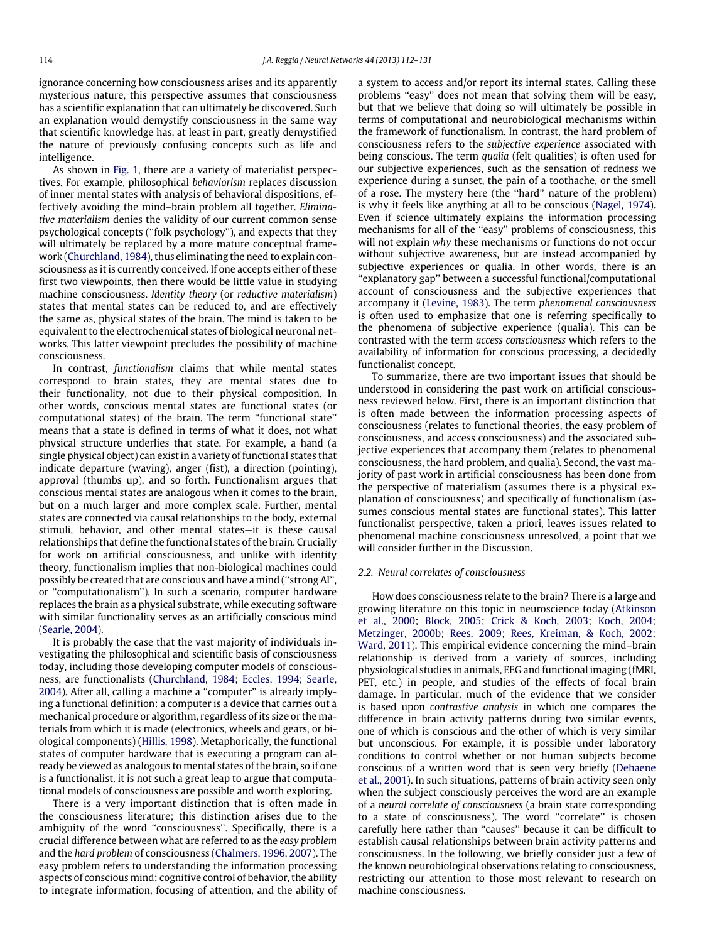ignorance concerning how consciousness arises and its apparently mysterious nature, this perspective assumes that consciousness has a scientific explanation that can ultimately be discovered. Such an explanation would demystify consciousness in the same way that scientific knowledge has, at least in part, greatly demystified the nature of previously confusing concepts such as life and intelligence.

As shown in [Fig. 1,](#page-1-0) there are a variety of materialist perspectives. For example, philosophical *behaviorism* replaces discussion of inner mental states with analysis of behavioral dispositions, effectively avoiding the mind–brain problem all together. *Eliminative materialism* denies the validity of our current common sense psychological concepts (''folk psychology''), and expects that they will ultimately be replaced by a more mature conceptual framework [\(Churchland,](#page-17-6) [1984\)](#page-17-6), thus eliminating the need to explain consciousness as it is currently conceived. If one accepts either of these first two viewpoints, then there would be little value in studying machine consciousness. *Identity theory* (or *reductive materialism*) states that mental states can be reduced to, and are effectively the same as, physical states of the brain. The mind is taken to be equivalent to the electrochemical states of biological neuronal networks. This latter viewpoint precludes the possibility of machine consciousness.

In contrast, *functionalism* claims that while mental states correspond to brain states, they are mental states due to their functionality, not due to their physical composition. In other words, conscious mental states are functional states (or computational states) of the brain. The term ''functional state'' means that a state is defined in terms of what it does, not what physical structure underlies that state. For example, a hand (a single physical object) can exist in a variety of functional states that indicate departure (waving), anger (fist), a direction (pointing), approval (thumbs up), and so forth. Functionalism argues that conscious mental states are analogous when it comes to the brain, but on a much larger and more complex scale. Further, mental states are connected via causal relationships to the body, external stimuli, behavior, and other mental states—it is these causal relationships that define the functional states of the brain. Crucially for work on artificial consciousness, and unlike with identity theory, functionalism implies that non-biological machines could possibly be created that are conscious and have a mind (''strong AI'', or ''computationalism''). In such a scenario, computer hardware replaces the brain as a physical substrate, while executing software with similar functionality serves as an artificially conscious mind [\(Searle,](#page-19-0) [2004\)](#page-19-0).

It is probably the case that the vast majority of individuals investigating the philosophical and scientific basis of consciousness today, including those developing computer models of consciousness, are functionalists [\(Churchland,](#page-17-6) [1984;](#page-17-6) [Eccles,](#page-17-7) [1994;](#page-17-7) [Searle,](#page-19-0) [2004\)](#page-19-0). After all, calling a machine a ''computer'' is already implying a functional definition: a computer is a device that carries out a mechanical procedure or algorithm, regardless of its size or the materials from which it is made (electronics, wheels and gears, or biological components) [\(Hillis,](#page-18-6) [1998\)](#page-18-6). Metaphorically, the functional states of computer hardware that is executing a program can already be viewed as analogous to mental states of the brain, so if one is a functionalist, it is not such a great leap to argue that computational models of consciousness are possible and worth exploring.

There is a very important distinction that is often made in the consciousness literature; this distinction arises due to the ambiguity of the word ''consciousness''. Specifically, there is a crucial difference between what are referred to as the *easy problem* and the *hard problem* of consciousness [\(Chalmers,](#page-17-8) [1996,](#page-17-8) [2007\)](#page-17-8). The easy problem refers to understanding the information processing aspects of conscious mind: cognitive control of behavior, the ability to integrate information, focusing of attention, and the ability of a system to access and/or report its internal states. Calling these problems ''easy'' does not mean that solving them will be easy, but that we believe that doing so will ultimately be possible in terms of computational and neurobiological mechanisms within the framework of functionalism. In contrast, the hard problem of consciousness refers to the *subjective experience* associated with being conscious. The term *qualia* (felt qualities) is often used for our subjective experiences, such as the sensation of redness we experience during a sunset, the pain of a toothache, or the smell of a rose. The mystery here (the ''hard'' nature of the problem) is why it feels like anything at all to be conscious [\(Nagel,](#page-18-7) [1974\)](#page-18-7). Even if science ultimately explains the information processing mechanisms for all of the ''easy'' problems of consciousness, this will not explain *why* these mechanisms or functions do not occur without subjective awareness, but are instead accompanied by subjective experiences or qualia. In other words, there is an ''explanatory gap'' between a successful functional/computational account of consciousness and the subjective experiences that accompany it [\(Levine,](#page-18-8) [1983\)](#page-18-8). The term *phenomenal consciousness* is often used to emphasize that one is referring specifically to the phenomena of subjective experience (qualia). This can be contrasted with the term *access consciousness* which refers to the availability of information for conscious processing, a decidedly functionalist concept.

To summarize, there are two important issues that should be understood in considering the past work on artificial consciousness reviewed below. First, there is an important distinction that is often made between the information processing aspects of consciousness (relates to functional theories, the easy problem of consciousness, and access consciousness) and the associated subjective experiences that accompany them (relates to phenomenal consciousness, the hard problem, and qualia). Second, the vast majority of past work in artificial consciousness has been done from the perspective of materialism (assumes there is a physical explanation of consciousness) and specifically of functionalism (assumes conscious mental states are functional states). This latter functionalist perspective, taken a priori, leaves issues related to phenomenal machine consciousness unresolved, a point that we will consider further in the Discussion.

#### <span id="page-2-0"></span>*2.2. Neural correlates of consciousness*

How does consciousness relate to the brain? There is a large and growing literature on this topic in neuroscience today [\(Atkinson](#page-17-5) [et al.,](#page-17-5) [2000;](#page-17-5) [Block,](#page-17-9) [2005;](#page-17-9) [Crick](#page-17-10) [&](#page-17-10) [Koch,](#page-17-10) [2003;](#page-17-10) [Koch,](#page-18-9) [2004;](#page-18-9) [Metzinger,](#page-18-10) [2000b;](#page-18-10) [Rees,](#page-18-11) [2009;](#page-18-11) [Rees,](#page-18-12) [Kreiman,](#page-18-12) [&](#page-18-12) [Koch,](#page-18-12) [2002;](#page-18-12) [Ward,](#page-19-7) [2011\)](#page-19-7). This empirical evidence concerning the mind–brain relationship is derived from a variety of sources, including physiological studies in animals, EEG and functional imaging (fMRI, PET, etc.) in people, and studies of the effects of focal brain damage. In particular, much of the evidence that we consider is based upon *contrastive analysis* in which one compares the difference in brain activity patterns during two similar events, one of which is conscious and the other of which is very similar but unconscious. For example, it is possible under laboratory conditions to control whether or not human subjects become conscious of a written word that is seen very briefly [\(Dehaene](#page-17-11) [et al.,](#page-17-11) [2001\)](#page-17-11). In such situations, patterns of brain activity seen only when the subject consciously perceives the word are an example of a *neural correlate of consciousness* (a brain state corresponding to a state of consciousness). The word ''correlate'' is chosen carefully here rather than ''causes'' because it can be difficult to establish causal relationships between brain activity patterns and consciousness. In the following, we briefly consider just a few of the known neurobiological observations relating to consciousness, restricting our attention to those most relevant to research on machine consciousness.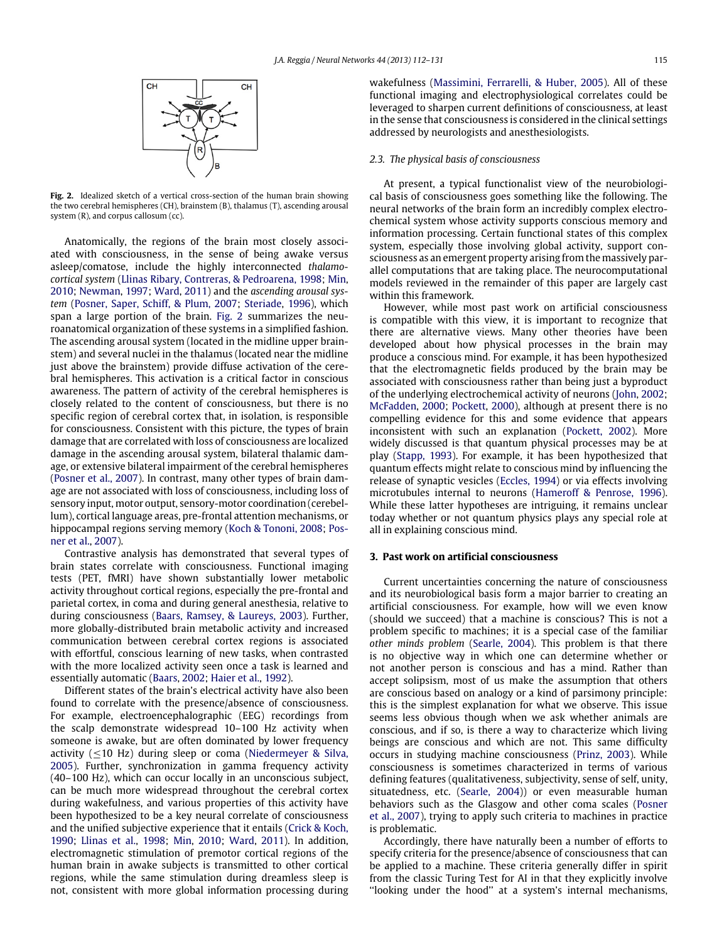<span id="page-3-0"></span>

**Fig. 2.** Idealized sketch of a vertical cross-section of the human brain showing the two cerebral hemispheres (CH), brainstem (B), thalamus (T), ascending arousal system  $(R)$ , and corpus callosum  $(cc)$ .

Anatomically, the regions of the brain most closely associated with consciousness, in the sense of being awake versus asleep/comatose, include the highly interconnected *thalamocortical system* [\(Llinas](#page-18-13) [Ribary,](#page-18-13) [Contreras,](#page-18-13) [&](#page-18-13) [Pedroarena,](#page-18-13) [1998;](#page-18-13) [Min,](#page-18-14) [2010;](#page-18-14) [Newman,](#page-18-15) [1997;](#page-18-15) [Ward,](#page-19-7) [2011\)](#page-19-7) and the *ascending arousal system* [\(Posner,](#page-18-16) [Saper,](#page-18-16) [Schiff,](#page-18-16) [&](#page-18-16) [Plum,](#page-18-16) [2007;](#page-18-16) [Steriade,](#page-19-8) [1996\)](#page-19-8), which span a large portion of the brain. [Fig. 2](#page-3-0) summarizes the neuroanatomical organization of these systems in a simplified fashion. The ascending arousal system (located in the midline upper brainstem) and several nuclei in the thalamus (located near the midline just above the brainstem) provide diffuse activation of the cerebral hemispheres. This activation is a critical factor in conscious awareness. The pattern of activity of the cerebral hemispheres is closely related to the content of consciousness, but there is no specific region of cerebral cortex that, in isolation, is responsible for consciousness. Consistent with this picture, the types of brain damage that are correlated with loss of consciousness are localized damage in the ascending arousal system, bilateral thalamic damage, or extensive bilateral impairment of the cerebral hemispheres [\(Posner](#page-18-16) [et al.,](#page-18-16) [2007\)](#page-18-16). In contrast, many other types of brain damage are not associated with loss of consciousness, including loss of sensory input, motor output, sensory-motor coordination (cerebellum), cortical language areas, pre-frontal attention mechanisms, or [h](#page-18-16)ippocampal regions serving memory [\(Koch](#page-18-17) [&](#page-18-17) [Tononi,](#page-18-17) [2008;](#page-18-17) [Pos](#page-18-16)[ner](#page-18-16) [et al.,](#page-18-16) [2007\)](#page-18-16).

Contrastive analysis has demonstrated that several types of brain states correlate with consciousness. Functional imaging tests (PET, fMRI) have shown substantially lower metabolic activity throughout cortical regions, especially the pre-frontal and parietal cortex, in coma and during general anesthesia, relative to during consciousness [\(Baars,](#page-17-12) [Ramsey,](#page-17-12) [&](#page-17-12) [Laureys,](#page-17-12) [2003\)](#page-17-12). Further, more globally-distributed brain metabolic activity and increased communication between cerebral cortex regions is associated with effortful, conscious learning of new tasks, when contrasted with the more localized activity seen once a task is learned and essentially automatic [\(Baars,](#page-17-13) [2002;](#page-17-13) [Haier](#page-18-18) [et al.,](#page-18-18) [1992\)](#page-18-18).

Different states of the brain's electrical activity have also been found to correlate with the presence/absence of consciousness. For example, electroencephalographic (EEG) recordings from the scalp demonstrate widespread 10–100 Hz activity when someone is awake, but are often dominated by lower frequency activity (≤10 Hz) during sleep or coma [\(Niedermeyer](#page-18-19) [&](#page-18-19) [Silva,](#page-18-19) [2005\)](#page-18-19). Further, synchronization in gamma frequency activity (40–100 Hz), which can occur locally in an unconscious subject, can be much more widespread throughout the cerebral cortex during wakefulness, and various properties of this activity have been hypothesized to be a key neural correlate of consciousness and the unified subjective experience that it entails [\(Crick](#page-17-14) [&](#page-17-14) [Koch,](#page-17-14) [1990;](#page-17-14) [Llinas](#page-18-13) [et al.,](#page-18-13) [1998;](#page-18-13) [Min,](#page-18-14) [2010;](#page-18-14) [Ward,](#page-19-7) [2011\)](#page-19-7). In addition, electromagnetic stimulation of premotor cortical regions of the human brain in awake subjects is transmitted to other cortical regions, while the same stimulation during dreamless sleep is not, consistent with more global information processing during

#### *2.3. The physical basis of consciousness*

At present, a typical functionalist view of the neurobiological basis of consciousness goes something like the following. The neural networks of the brain form an incredibly complex electrochemical system whose activity supports conscious memory and information processing. Certain functional states of this complex system, especially those involving global activity, support consciousness as an emergent property arising from the massively parallel computations that are taking place. The neurocomputational models reviewed in the remainder of this paper are largely cast within this framework.

However, while most past work on artificial consciousness is compatible with this view, it is important to recognize that there are alternative views. Many other theories have been developed about how physical processes in the brain may produce a conscious mind. For example, it has been hypothesized that the electromagnetic fields produced by the brain may be associated with consciousness rather than being just a byproduct of the underlying electrochemical activity of neurons [\(John,](#page-18-21) [2002;](#page-18-21) [McFadden,](#page-18-22) [2000;](#page-18-22) [Pockett,](#page-18-23) [2000\)](#page-18-23), although at present there is no compelling evidence for this and some evidence that appears inconsistent with such an explanation [\(Pockett,](#page-18-24) [2002\)](#page-18-24). More widely discussed is that quantum physical processes may be at play [\(Stapp,](#page-19-9) [1993\)](#page-19-9). For example, it has been hypothesized that quantum effects might relate to conscious mind by influencing the release of synaptic vesicles [\(Eccles,](#page-17-7) [1994\)](#page-17-7) or via effects involving microtubules internal to neurons [\(Hameroff](#page-18-25) [&](#page-18-25) [Penrose,](#page-18-25) [1996\)](#page-18-25). While these latter hypotheses are intriguing, it remains unclear today whether or not quantum physics plays any special role at all in explaining conscious mind.

# **3. Past work on artificial consciousness**

Current uncertainties concerning the nature of consciousness and its neurobiological basis form a major barrier to creating an artificial consciousness. For example, how will we even know (should we succeed) that a machine is conscious? This is not a problem specific to machines; it is a special case of the familiar *other minds problem* [\(Searle,](#page-19-0) [2004\)](#page-19-0). This problem is that there is no objective way in which one can determine whether or not another person is conscious and has a mind. Rather than accept solipsism, most of us make the assumption that others are conscious based on analogy or a kind of parsimony principle: this is the simplest explanation for what we observe. This issue seems less obvious though when we ask whether animals are conscious, and if so, is there a way to characterize which living beings are conscious and which are not. This same difficulty occurs in studying machine consciousness [\(Prinz,](#page-18-26) [2003\)](#page-18-26). While consciousness is sometimes characterized in terms of various defining features (qualitativeness, subjectivity, sense of self, unity, situatedness, etc. [\(Searle,](#page-19-0) [2004\)](#page-19-0)) or even measurable human behaviors such as the Glasgow and other coma scales [\(Posner](#page-18-16) [et al.,](#page-18-16) [2007\)](#page-18-16), trying to apply such criteria to machines in practice is problematic.

Accordingly, there have naturally been a number of efforts to specify criteria for the presence/absence of consciousness that can be applied to a machine. These criteria generally differ in spirit from the classic Turing Test for AI in that they explicitly involve ''looking under the hood'' at a system's internal mechanisms,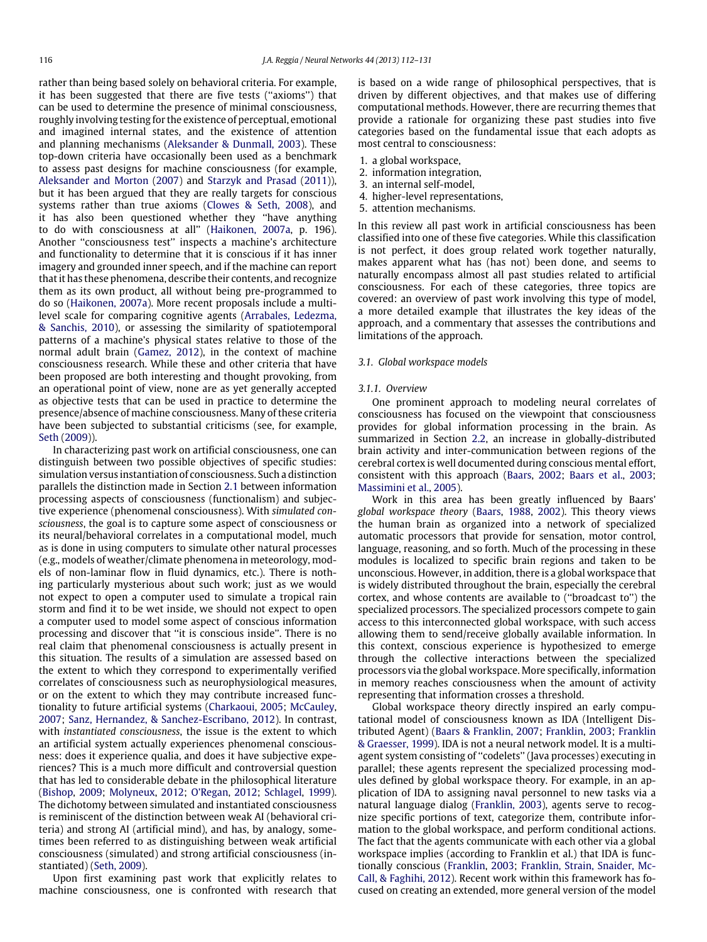rather than being based solely on behavioral criteria. For example, it has been suggested that there are five tests (''axioms'') that can be used to determine the presence of minimal consciousness, roughly involving testing for the existence of perceptual, emotional and imagined internal states, and the existence of attention and planning mechanisms [\(Aleksander](#page-17-15) [&](#page-17-15) [Dunmall,](#page-17-15) [2003\)](#page-17-15). These top-down criteria have occasionally been used as a benchmark to assess past designs for machine consciousness (for example, [Aleksander](#page-17-16) [and](#page-17-16) [Morton](#page-17-16) [\(2007\)](#page-17-16) and [Starzyk](#page-19-10) [and](#page-19-10) [Prasad](#page-19-10) [\(2011\)](#page-19-10)), but it has been argued that they are really targets for conscious systems rather than true axioms [\(Clowes](#page-17-17) [&](#page-17-17) [Seth,](#page-17-17) [2008\)](#page-17-17), and it has also been questioned whether they ''have anything to do with consciousness at all'' [\(Haikonen,](#page-18-27) [2007a,](#page-18-27) p. 196). Another ''consciousness test'' inspects a machine's architecture and functionality to determine that it is conscious if it has inner imagery and grounded inner speech, and if the machine can report that it has these phenomena, describe their contents, and recognize them as its own product, all without being pre-programmed to do so [\(Haikonen,](#page-18-27) [2007a\)](#page-18-27). More recent proposals include a multilevel scale for comparing cognitive agents [\(Arrabales,](#page-17-18) [Ledezma,](#page-17-18) [&](#page-17-18) [Sanchis,](#page-17-18) [2010\)](#page-17-18), or assessing the similarity of spatiotemporal patterns of a machine's physical states relative to those of the normal adult brain [\(Gamez,](#page-17-19) [2012\)](#page-17-19), in the context of machine consciousness research. While these and other criteria that have been proposed are both interesting and thought provoking, from an operational point of view, none are as yet generally accepted as objective tests that can be used in practice to determine the presence/absence of machine consciousness. Many of these criteria have been subjected to substantial criticisms (see, for example, [Seth](#page-19-11) [\(2009\)](#page-19-11)).

In characterizing past work on artificial consciousness, one can distinguish between two possible objectives of specific studies: simulation versus instantiation of consciousness. Such a distinction parallels the distinction made in Section [2.1](#page-1-1) between information processing aspects of consciousness (functionalism) and subjective experience (phenomenal consciousness). With *simulated consciousness*, the goal is to capture some aspect of consciousness or its neural/behavioral correlates in a computational model, much as is done in using computers to simulate other natural processes (e.g., models of weather/climate phenomena in meteorology, models of non-laminar flow in fluid dynamics, etc.). There is nothing particularly mysterious about such work; just as we would not expect to open a computer used to simulate a tropical rain storm and find it to be wet inside, we should not expect to open a computer used to model some aspect of conscious information processing and discover that ''it is conscious inside''. There is no real claim that phenomenal consciousness is actually present in this situation. The results of a simulation are assessed based on the extent to which they correspond to experimentally verified correlates of consciousness such as neurophysiological measures, or on the extent to which they may contribute increased functionality to future artificial systems [\(Charkaoui,](#page-17-20) [2005;](#page-17-20) [McCauley,](#page-18-28) [2007;](#page-18-28) [Sanz,](#page-19-12) [Hernandez,](#page-19-12) [&](#page-19-12) [Sanchez-Escribano,](#page-19-12) [2012\)](#page-19-12). In contrast, with *instantiated consciousness*, the issue is the extent to which an artificial system actually experiences phenomenal consciousness: does it experience qualia, and does it have subjective experiences? This is a much more difficult and controversial question that has led to considerable debate in the philosophical literature [\(Bishop,](#page-17-21) [2009;](#page-17-21) [Molyneux,](#page-18-29) [2012;](#page-18-29) [O'Regan,](#page-18-30) [2012;](#page-18-30) [Schlagel,](#page-19-13) [1999\)](#page-19-13). The dichotomy between simulated and instantiated consciousness is reminiscent of the distinction between weak AI (behavioral criteria) and strong AI (artificial mind), and has, by analogy, sometimes been referred to as distinguishing between weak artificial consciousness (simulated) and strong artificial consciousness (instantiated) [\(Seth,](#page-19-11) [2009\)](#page-19-11).

Upon first examining past work that explicitly relates to machine consciousness, one is confronted with research that is based on a wide range of philosophical perspectives, that is driven by different objectives, and that makes use of differing computational methods. However, there are recurring themes that provide a rationale for organizing these past studies into five categories based on the fundamental issue that each adopts as most central to consciousness:

- 1. a global workspace,
- 2. information integration,
- 3. an internal self-model,
- 4. higher-level representations,
- 5. attention mechanisms.

In this review all past work in artificial consciousness has been classified into one of these five categories. While this classification is not perfect, it does group related work together naturally, makes apparent what has (has not) been done, and seems to naturally encompass almost all past studies related to artificial consciousness. For each of these categories, three topics are covered: an overview of past work involving this type of model, a more detailed example that illustrates the key ideas of the approach, and a commentary that assesses the contributions and limitations of the approach.

# *3.1. Global workspace models*

#### *3.1.1. Overview*

One prominent approach to modeling neural correlates of consciousness has focused on the viewpoint that consciousness provides for global information processing in the brain. As summarized in Section [2.2,](#page-2-0) an increase in globally-distributed brain activity and inter-communication between regions of the cerebral cortex is well documented during conscious mental effort, consistent with this approach [\(Baars,](#page-17-13) [2002;](#page-17-13) [Baars](#page-17-12) [et al.,](#page-17-12) [2003;](#page-17-12) [Massimini](#page-18-20) [et al.,](#page-18-20) [2005\)](#page-18-20).

Work in this area has been greatly influenced by Baars' *global workspace theory* [\(Baars,](#page-17-22) [1988,](#page-17-22) [2002\)](#page-17-22). This theory views the human brain as organized into a network of specialized automatic processors that provide for sensation, motor control, language, reasoning, and so forth. Much of the processing in these modules is localized to specific brain regions and taken to be unconscious. However, in addition, there is a global workspace that is widely distributed throughout the brain, especially the cerebral cortex, and whose contents are available to (''broadcast to'') the specialized processors. The specialized processors compete to gain access to this interconnected global workspace, with such access allowing them to send/receive globally available information. In this context, conscious experience is hypothesized to emerge through the collective interactions between the specialized processors via the global workspace. More specifically, information in memory reaches consciousness when the amount of activity representing that information crosses a threshold.

Global workspace theory directly inspired an early computational model of consciousness known as IDA (Intelligent Distributed Agent) [\(Baars](#page-17-23) [&](#page-17-23) [Franklin,](#page-17-23) [2007;](#page-17-23) [Franklin,](#page-17-24) [2003;](#page-17-24) [Franklin](#page-17-25) [&](#page-17-25) [Graesser,](#page-17-25) [1999\)](#page-17-25). IDA is not a neural network model. It is a multiagent system consisting of ''codelets'' (Java processes) executing in parallel; these agents represent the specialized processing modules defined by global workspace theory. For example, in an application of IDA to assigning naval personnel to new tasks via a natural language dialog [\(Franklin,](#page-17-24) [2003\)](#page-17-24), agents serve to recognize specific portions of text, categorize them, contribute information to the global workspace, and perform conditional actions. The fact that the agents communicate with each other via a global workspace implies (according to Franklin et al.) that IDA is func[t](#page-17-26)ionally conscious [\(Franklin,](#page-17-24) [2003;](#page-17-24) [Franklin,](#page-17-26) [Strain,](#page-17-26) [Snaider,](#page-17-26) [Mc-](#page-17-26)[Call,](#page-17-26) [&](#page-17-26) [Faghihi,](#page-17-26) [2012\)](#page-17-26). Recent work within this framework has focused on creating an extended, more general version of the model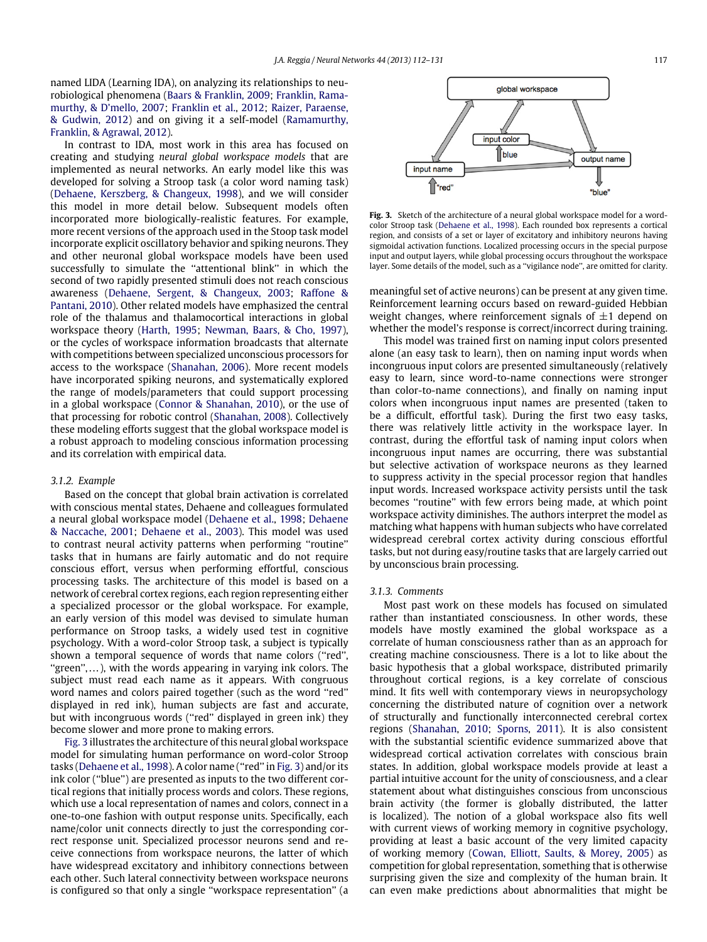named LIDA (Learning IDA), on analyzing its relationships to neu[r](#page-17-28)obiological phenomena [\(Baars](#page-17-27) [&](#page-17-27) [Franklin,](#page-17-27) [2009;](#page-17-27) [Franklin,](#page-17-28) [Rama](#page-17-28)[murthy,](#page-17-28) [&](#page-17-28) [D'mello,](#page-17-28) [2007;](#page-17-28) [Franklin](#page-17-26) [et al.,](#page-17-26) [2012;](#page-17-26) [Raizer,](#page-18-31) [Paraense,](#page-18-31) [&](#page-18-31) [Gudwin,](#page-18-31) [2012\)](#page-18-31) and on giving it a self-model [\(Ramamurthy,](#page-18-32) [Franklin,](#page-18-32) [&](#page-18-32) [Agrawal,](#page-18-32) [2012\)](#page-18-32).

In contrast to IDA, most work in this area has focused on creating and studying *neural global workspace models* that are implemented as neural networks. An early model like this was developed for solving a Stroop task (a color word naming task) [\(Dehaene,](#page-17-29) [Kerszberg,](#page-17-29) [&](#page-17-29) [Changeux,](#page-17-29) [1998\)](#page-17-29), and we will consider this model in more detail below. Subsequent models often incorporated more biologically-realistic features. For example, more recent versions of the approach used in the Stoop task model incorporate explicit oscillatory behavior and spiking neurons. They and other neuronal global workspace models have been used successfully to simulate the ''attentional blink'' in which the second of two rapidly presented stimuli does not reach conscious awareness [\(Dehaene,](#page-17-30) [Sergent,](#page-17-30) [&](#page-17-30) [Changeux,](#page-17-30) [2003;](#page-17-30) [Raffone](#page-18-33) [&](#page-18-33) [Pantani,](#page-18-33) [2010\)](#page-18-33). Other related models have emphasized the central role of the thalamus and thalamocortical interactions in global workspace theory [\(Harth,](#page-18-34) [1995;](#page-18-34) [Newman,](#page-18-35) [Baars,](#page-18-35) [&](#page-18-35) [Cho,](#page-18-35) [1997\)](#page-18-35), or the cycles of workspace information broadcasts that alternate with competitions between specialized unconscious processors for access to the workspace [\(Shanahan,](#page-19-14) [2006\)](#page-19-14). More recent models have incorporated spiking neurons, and systematically explored the range of models/parameters that could support processing in a global workspace [\(Connor](#page-17-31) [&](#page-17-31) [Shanahan,](#page-17-31) [2010\)](#page-17-31), or the use of that processing for robotic control [\(Shanahan,](#page-19-15) [2008\)](#page-19-15). Collectively these modeling efforts suggest that the global workspace model is a robust approach to modeling conscious information processing and its correlation with empirical data.

#### *3.1.2. Example*

Based on the concept that global brain activation is correlated with conscious mental states, Dehaene and colleagues formulated a neural global workspace model [\(Dehaene](#page-17-29) [et al.,](#page-17-29) [1998;](#page-17-29) [Dehaene](#page-17-32) [&](#page-17-32) [Naccache,](#page-17-32) [2001;](#page-17-32) [Dehaene](#page-17-30) [et al.,](#page-17-30) [2003\)](#page-17-30). This model was used to contrast neural activity patterns when performing ''routine'' tasks that in humans are fairly automatic and do not require conscious effort, versus when performing effortful, conscious processing tasks. The architecture of this model is based on a network of cerebral cortex regions, each region representing either a specialized processor or the global workspace. For example, an early version of this model was devised to simulate human performance on Stroop tasks, a widely used test in cognitive psychology. With a word-color Stroop task, a subject is typically shown a temporal sequence of words that name colors (''red'', "green",...), with the words appearing in varying ink colors. The subject must read each name as it appears. With congruous word names and colors paired together (such as the word ''red'' displayed in red ink), human subjects are fast and accurate, but with incongruous words (''red'' displayed in green ink) they become slower and more prone to making errors.

[Fig. 3](#page-5-0) illustrates the architecture of this neural global workspace model for simulating human performance on word-color Stroop tasks [\(Dehaene](#page-17-29) [et al.,](#page-17-29) [1998\)](#page-17-29). A color name (''red'' in [Fig. 3\)](#page-5-0) and/or its ink color (''blue'') are presented as inputs to the two different cortical regions that initially process words and colors. These regions, which use a local representation of names and colors, connect in a one-to-one fashion with output response units. Specifically, each name/color unit connects directly to just the corresponding correct response unit. Specialized processor neurons send and receive connections from workspace neurons, the latter of which have widespread excitatory and inhibitory connections between each other. Such lateral connectivity between workspace neurons is configured so that only a single ''workspace representation'' (a

<span id="page-5-0"></span>

**Fig. 3.** Sketch of the architecture of a neural global workspace model for a wordcolor Stroop task [\(Dehaene](#page-17-29) [et al.,](#page-17-29) [1998\)](#page-17-29). Each rounded box represents a cortical region, and consists of a set or layer of excitatory and inhibitory neurons having sigmoidal activation functions. Localized processing occurs in the special purpose input and output layers, while global processing occurs throughout the workspace layer. Some details of the model, such as a ''vigilance node'', are omitted for clarity.

meaningful set of active neurons) can be present at any given time. Reinforcement learning occurs based on reward-guided Hebbian weight changes, where reinforcement signals of  $\pm 1$  depend on whether the model's response is correct/incorrect during training.

This model was trained first on naming input colors presented alone (an easy task to learn), then on naming input words when incongruous input colors are presented simultaneously (relatively easy to learn, since word-to-name connections were stronger than color-to-name connections), and finally on naming input colors when incongruous input names are presented (taken to be a difficult, effortful task). During the first two easy tasks, there was relatively little activity in the workspace layer. In contrast, during the effortful task of naming input colors when incongruous input names are occurring, there was substantial but selective activation of workspace neurons as they learned to suppress activity in the special processor region that handles input words. Increased workspace activity persists until the task becomes ''routine'' with few errors being made, at which point workspace activity diminishes. The authors interpret the model as matching what happens with human subjects who have correlated widespread cerebral cortex activity during conscious effortful tasks, but not during easy/routine tasks that are largely carried out by unconscious brain processing.

#### *3.1.3. Comments*

Most past work on these models has focused on simulated rather than instantiated consciousness. In other words, these models have mostly examined the global workspace as a correlate of human consciousness rather than as an approach for creating machine consciousness. There is a lot to like about the basic hypothesis that a global workspace, distributed primarily throughout cortical regions, is a key correlate of conscious mind. It fits well with contemporary views in neuropsychology concerning the distributed nature of cognition over a network of structurally and functionally interconnected cerebral cortex regions [\(Shanahan,](#page-19-16) [2010;](#page-19-16) [Sporns,](#page-19-17) [2011\)](#page-19-17). It is also consistent with the substantial scientific evidence summarized above that widespread cortical activation correlates with conscious brain states. In addition, global workspace models provide at least a partial intuitive account for the unity of consciousness, and a clear statement about what distinguishes conscious from unconscious brain activity (the former is globally distributed, the latter is localized). The notion of a global workspace also fits well with current views of working memory in cognitive psychology, providing at least a basic account of the very limited capacity of working memory [\(Cowan,](#page-17-33) [Elliott,](#page-17-33) [Saults,](#page-17-33) [&](#page-17-33) [Morey,](#page-17-33) [2005\)](#page-17-33) as competition for global representation, something that is otherwise surprising given the size and complexity of the human brain. It can even make predictions about abnormalities that might be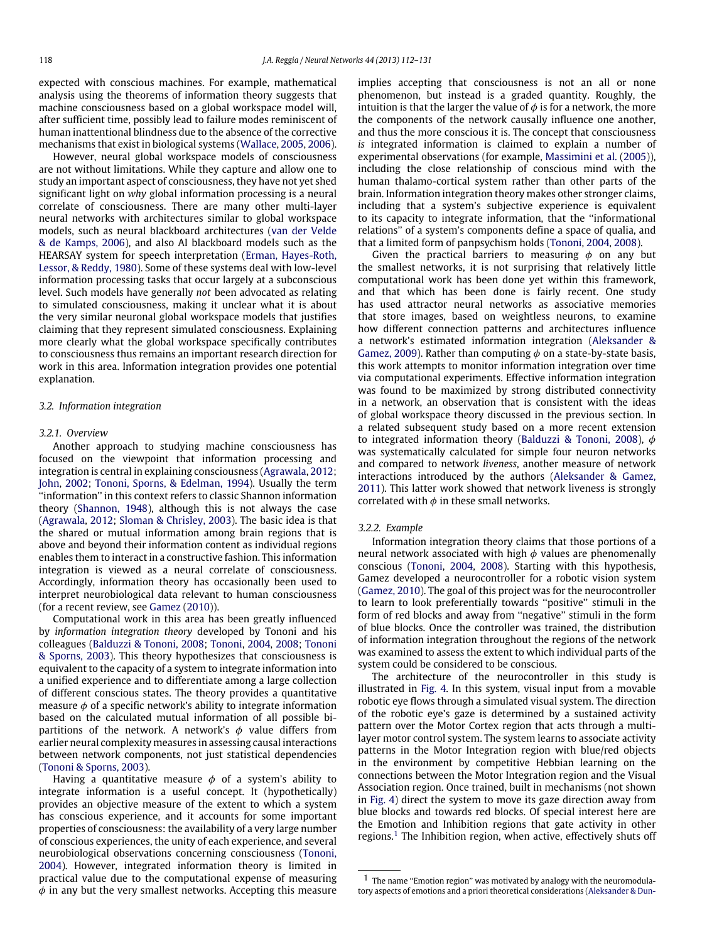expected with conscious machines. For example, mathematical analysis using the theorems of information theory suggests that machine consciousness based on a global workspace model will, after sufficient time, possibly lead to failure modes reminiscent of human inattentional blindness due to the absence of the corrective mechanisms that exist in biological systems [\(Wallace,](#page-19-18) [2005,](#page-19-18) [2006\)](#page-19-18).

However, neural global workspace models of consciousness are not without limitations. While they capture and allow one to study an important aspect of consciousness, they have not yet shed significant light on *why* global information processing is a neural correlate of consciousness. There are many other multi-layer neural networks with architectures similar to global workspace models, such as neural blackboard architectures [\(van](#page-19-19) [der](#page-19-19) [Velde](#page-19-19) [&](#page-19-19) [de](#page-19-19) [Kamps,](#page-19-19) [2006\)](#page-19-19), and also AI blackboard models such as the HEARSAY system for speech interpretation [\(Erman,](#page-17-34) [Hayes-Roth,](#page-17-34) [Lessor,](#page-17-34) [&](#page-17-34) [Reddy,](#page-17-34) [1980\)](#page-17-34). Some of these systems deal with low-level information processing tasks that occur largely at a subconscious level. Such models have generally *not* been advocated as relating to simulated consciousness, making it unclear what it is about the very similar neuronal global workspace models that justifies claiming that they represent simulated consciousness. Explaining more clearly what the global workspace specifically contributes to consciousness thus remains an important research direction for work in this area. Information integration provides one potential explanation.

# *3.2. Information integration*

# *3.2.1. Overview*

Another approach to studying machine consciousness has focused on the viewpoint that information processing and integration is central in explaining consciousness [\(Agrawala,](#page-17-35) [2012;](#page-17-35) [John,](#page-18-21) [2002;](#page-18-21) [Tononi,](#page-19-20) [Sporns,](#page-19-20) [&](#page-19-20) [Edelman,](#page-19-20) [1994\)](#page-19-20). Usually the term ''information'' in this context refers to classic Shannon information theory [\(Shannon,](#page-19-21) [1948\)](#page-19-21), although this is not always the case [\(Agrawala,](#page-17-35) [2012;](#page-17-35) [Sloman](#page-19-22) [&](#page-19-22) [Chrisley,](#page-19-22) [2003\)](#page-19-22). The basic idea is that the shared or mutual information among brain regions that is above and beyond their information content as individual regions enables them to interact in a constructive fashion. This information integration is viewed as a neural correlate of consciousness. Accordingly, information theory has occasionally been used to interpret neurobiological data relevant to human consciousness (for a recent review, see [Gamez](#page-17-36) [\(2010\)](#page-17-36)).

Computational work in this area has been greatly influenced by *information integration theory* developed by Tononi and his colleagues [\(Balduzzi](#page-17-37) [&](#page-17-37) [Tononi,](#page-17-37) [2008;](#page-17-37) [Tononi,](#page-19-23) [2004,](#page-19-23) [2008;](#page-19-23) [Tononi](#page-19-24) [&](#page-19-24) [Sporns,](#page-19-24) [2003\)](#page-19-24). This theory hypothesizes that consciousness is equivalent to the capacity of a system to integrate information into a unified experience and to differentiate among a large collection of different conscious states. The theory provides a quantitative measure  $\phi$  of a specific network's ability to integrate information based on the calculated mutual information of all possible bipartitions of the network. A network's  $\phi$  value differs from earlier neural complexity measures in assessing causal interactions between network components, not just statistical dependencies [\(Tononi](#page-19-25) [&](#page-19-25) [Sporns,](#page-19-25) [2003\)](#page-19-25).

Having a quantitative measure  $\phi$  of a system's ability to integrate information is a useful concept. It (hypothetically) provides an objective measure of the extent to which a system has conscious experience, and it accounts for some important properties of consciousness: the availability of a very large number of conscious experiences, the unity of each experience, and several neurobiological observations concerning consciousness [\(Tononi,](#page-19-23) [2004\)](#page-19-23). However, integrated information theory is limited in practical value due to the computational expense of measuring  $\phi$  in any but the very smallest networks. Accepting this measure implies accepting that consciousness is not an all or none phenomenon, but instead is a graded quantity. Roughly, the intuition is that the larger the value of  $\phi$  is for a network, the more the components of the network causally influence one another, and thus the more conscious it is. The concept that consciousness *is* integrated information is claimed to explain a number of experimental observations (for example, [Massimini](#page-18-20) [et al.](#page-18-20) [\(2005\)](#page-18-20)), including the close relationship of conscious mind with the human thalamo-cortical system rather than other parts of the brain. Information integration theory makes other stronger claims, including that a system's subjective experience is equivalent to its capacity to integrate information, that the ''informational relations'' of a system's components define a space of qualia, and that a limited form of panpsychism holds [\(Tononi,](#page-19-23) [2004,](#page-19-23) [2008\)](#page-19-23).

Given the practical barriers to measuring  $\phi$  on any but the smallest networks, it is not surprising that relatively little computational work has been done yet within this framework, and that which has been done is fairly recent. One study has used attractor neural networks as associative memories that store images, based on weightless neurons, to examine how different connection patterns and architectures influence a network's estimated information integration [\(Aleksander](#page-17-38) [&](#page-17-38) [Gamez,](#page-17-38) [2009\)](#page-17-38). Rather than computing  $\phi$  on a state-by-state basis, this work attempts to monitor information integration over time via computational experiments. Effective information integration was found to be maximized by strong distributed connectivity in a network, an observation that is consistent with the ideas of global workspace theory discussed in the previous section. In a related subsequent study based on a more recent extension to integrated information theory [\(Balduzzi](#page-17-37) [&](#page-17-37) [Tononi,](#page-17-37) [2008\)](#page-17-37),  $\phi$ was systematically calculated for simple four neuron networks and compared to network *liveness*, another measure of network interactions introduced by the authors [\(Aleksander](#page-17-39) [&](#page-17-39) [Gamez,](#page-17-39) [2011\)](#page-17-39). This latter work showed that network liveness is strongly correlated with  $\phi$  in these small networks.

#### *3.2.2. Example*

Information integration theory claims that those portions of a neural network associated with high  $\phi$  values are phenomenally conscious [\(Tononi,](#page-19-23) [2004,](#page-19-23) [2008\)](#page-19-23). Starting with this hypothesis, Gamez developed a neurocontroller for a robotic vision system [\(Gamez,](#page-17-36) [2010\)](#page-17-36). The goal of this project was for the neurocontroller to learn to look preferentially towards ''positive'' stimuli in the form of red blocks and away from ''negative'' stimuli in the form of blue blocks. Once the controller was trained, the distribution of information integration throughout the regions of the network was examined to assess the extent to which individual parts of the system could be considered to be conscious.

The architecture of the neurocontroller in this study is illustrated in [Fig. 4.](#page-7-0) In this system, visual input from a movable robotic eye flows through a simulated visual system. The direction of the robotic eye's gaze is determined by a sustained activity pattern over the Motor Cortex region that acts through a multilayer motor control system. The system learns to associate activity patterns in the Motor Integration region with blue/red objects in the environment by competitive Hebbian learning on the connections between the Motor Integration region and the Visual Association region. Once trained, built in mechanisms (not shown in [Fig. 4\)](#page-7-0) direct the system to move its gaze direction away from blue blocks and towards red blocks. Of special interest here are the Emotion and Inhibition regions that gate activity in other regions.<sup>[1](#page-6-0)</sup> The Inhibition region, when active, effectively shuts off

<span id="page-6-0"></span> $^{\rm 1}$  The name "Emotion region" was motivated by analogy with the neuromodulatory aspects of emotions and a priori theoretical considerations [\(Aleksander](#page-17-15) [&](#page-17-15) [Dun-](#page-17-15)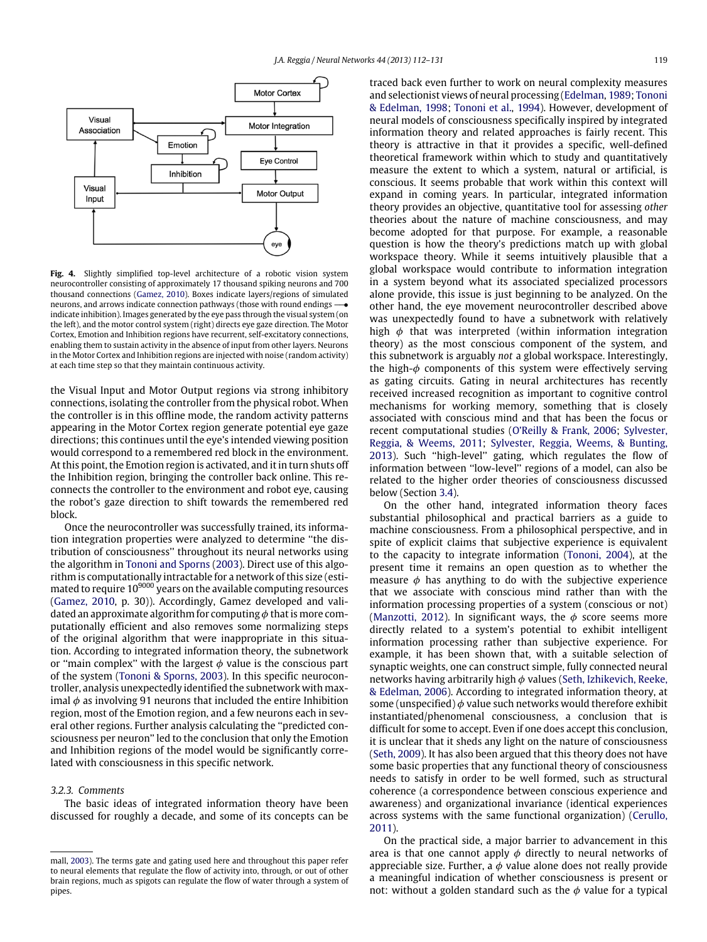<span id="page-7-0"></span>

**Fig. 4.** Slightly simplified top-level architecture of a robotic vision system neurocontroller consisting of approximately 17 thousand spiking neurons and 700 thousand connections [\(Gamez,](#page-17-36) [2010\)](#page-17-36). Boxes indicate layers/regions of simulated neurons, and arrows indicate connection pathways (those with round endings ——• indicate inhibition). Images generated by the eye pass through the visual system (on the left), and the motor control system (right) directs eye gaze direction. The Motor Cortex, Emotion and Inhibition regions have recurrent, self-excitatory connections, enabling them to sustain activity in the absence of input from other layers. Neurons in the Motor Cortex and Inhibition regions are injected with noise (random activity) at each time step so that they maintain continuous activity.

[the Visual Input and Motor Output regions via strong inhibitory](#page-17-15) [connections, isolating the controller from the physical robot. When](#page-17-15) [the controller is in this offline mode, the random activity patterns](#page-17-15) [appearing in the Motor Cortex region generate potential eye gaze](#page-17-15) [directions; this continues until the eye's intended viewing position](#page-17-15) [would correspond to a remembered red block in the environment.](#page-17-15) [At this point, the Emotion region is activated, and it in turn shuts off](#page-17-15) [the Inhibition region, bringing the controller back online. This re](#page-17-15)[connects the controller to the environment and robot eye, causing](#page-17-15) [the robot's gaze direction to shift towards the remembered red](#page-17-15) [block.](#page-17-15)

[Once the neurocontroller was successfully trained, its informa](#page-17-15)[tion integration properties were analyzed to determine ''the dis](#page-17-15)[tribution of consciousness'' throughout its neural networks using](#page-17-15) [t](#page-17-15)he algorithm in [Tononi](#page-19-25) [and](#page-19-25) [Sporns](#page-19-25) [\(2003\). Direct use of this algo](#page-17-15)[rithm is computationally intractable for a network of this size \(esti](#page-17-15)[m](#page-17-15)ated to require 10<sup>9000</sup> [years on the available computing resources](#page-17-15) [\(Gamez,](#page-17-36) [2010, p. 30\)\). Accordingly, Gamez developed and vali](#page-17-15)[dated an approximate algorithm for computing](#page-17-15)  $\phi$  that is more com[putationally efficient and also removes some normalizing steps](#page-17-15) [of the original algorithm that were inappropriate in this situa](#page-17-15)[tion. According to integrated information theory, the subnetwork](#page-17-15) or "main complex" with the largest  $\phi$  value is the conscious part [o](#page-17-15)f the system [\(Tononi](#page-19-25) [&](#page-19-25) [Sporns,](#page-19-25) [2003\). In this specific neurocon](#page-17-15)[troller, analysis unexpectedly identified the subnetwork with max](#page-17-15)[i](#page-17-15)mal  $\phi$  [as involving 91 neurons that included the entire Inhibition](#page-17-15) [region, most of the Emotion region, and a few neurons each in sev](#page-17-15)[eral other regions. Further analysis calculating the ''predicted con](#page-17-15)[sciousness per neuron'' led to the conclusion that only the Emotion](#page-17-15) [and Inhibition regions of the model would be significantly corre](#page-17-15)[lated with consciousness in this specific network.](#page-17-15)

## *[3.2.3. Comments](#page-17-15)*

[The basic ideas of integrated information theory have been](#page-17-15) [discussed for roughly a decade, and some of its concepts can be](#page-17-15) traced back even further to work on neural complexity measures and selectionist views of neural processing [\(Edelman,](#page-17-40) [1989;](#page-17-40) [Tononi](#page-19-26) [&](#page-19-26) [Edelman,](#page-19-26) [1998;](#page-19-26) [Tononi](#page-19-20) [et al.,](#page-19-20) [1994\)](#page-19-20). However, development of neural models of consciousness specifically inspired by integrated information theory and related approaches is fairly recent. This theory is attractive in that it provides a specific, well-defined theoretical framework within which to study and quantitatively measure the extent to which a system, natural or artificial, is conscious. It seems probable that work within this context will expand in coming years. In particular, integrated information theory provides an objective, quantitative tool for assessing *other* theories about the nature of machine consciousness, and may become adopted for that purpose. For example, a reasonable question is how the theory's predictions match up with global workspace theory. While it seems intuitively plausible that a global workspace would contribute to information integration in a system beyond what its associated specialized processors alone provide, this issue is just beginning to be analyzed. On the other hand, the eye movement neurocontroller described above was unexpectedly found to have a subnetwork with relatively high  $\phi$  that was interpreted (within information integration theory) as the most conscious component of the system, and this subnetwork is arguably *not* a global workspace. Interestingly, the high- $\phi$  components of this system were effectively serving as gating circuits. Gating in neural architectures has recently received increased recognition as important to cognitive control mechanisms for working memory, something that is closely associated with conscious mind and that has been the focus or recent computational studies [\(O'Reilly](#page-18-36) [&](#page-18-36) [Frank,](#page-18-36) [2006;](#page-18-36) [Sylvester,](#page-19-27) [Reggia,](#page-19-27) [&](#page-19-27) [Weems,](#page-19-27) [2011;](#page-19-27) [Sylvester,](#page-19-28) [Reggia,](#page-19-28) [Weems,](#page-19-28) [&](#page-19-28) [Bunting,](#page-19-28) [2013\)](#page-19-28). Such ''high-level'' gating, which regulates the flow of information between ''low-level'' regions of a model, can also be related to the higher order theories of consciousness discussed below (Section [3.4\)](#page-10-0).

On the other hand, integrated information theory faces substantial philosophical and practical barriers as a guide to machine consciousness. From a philosophical perspective, and in spite of explicit claims that subjective experience is equivalent to the capacity to integrate information [\(Tononi,](#page-19-23) [2004\)](#page-19-23), at the present time it remains an open question as to whether the measure  $\phi$  has anything to do with the subjective experience that we associate with conscious mind rather than with the information processing properties of a system (conscious or not) [\(Manzotti,](#page-18-37) [2012\)](#page-18-37). In significant ways, the  $\phi$  score seems more directly related to a system's potential to exhibit intelligent information processing rather than subjective experience. For example, it has been shown that, with a suitable selection of synaptic weights, one can construct simple, fully connected neural networks having arbitrarily high  $\phi$  values [\(Seth,](#page-19-29) [Izhikevich,](#page-19-29) [Reeke,](#page-19-29) [&](#page-19-29) [Edelman,](#page-19-29) [2006\)](#page-19-29). According to integrated information theory, at some (unspecified)  $\phi$  value such networks would therefore exhibit instantiated/phenomenal consciousness, a conclusion that is difficult for some to accept. Even if one does accept this conclusion, it is unclear that it sheds any light on the nature of consciousness [\(Seth,](#page-19-11) [2009\)](#page-19-11). It has also been argued that this theory does not have some basic properties that any functional theory of consciousness needs to satisfy in order to be well formed, such as structural coherence (a correspondence between conscious experience and awareness) and organizational invariance (identical experiences across systems with the same functional organization) [\(Cerullo,](#page-17-41) [2011\)](#page-17-41).

On the practical side, a major barrier to advancement in this area is that one cannot apply  $\phi$  directly to neural networks of appreciable size. Further, a  $\phi$  value alone does not really provide a meaningful indication of whether consciousness is present or not: without a golden standard such as the  $\phi$  value for a typical

[mall,](#page-17-15) [2003\)](#page-17-15). The terms gate and gating used here and throughout this paper refer to neural elements that regulate the flow of activity into, through, or out of other brain regions, much as spigots can regulate the flow of water through a system of pipes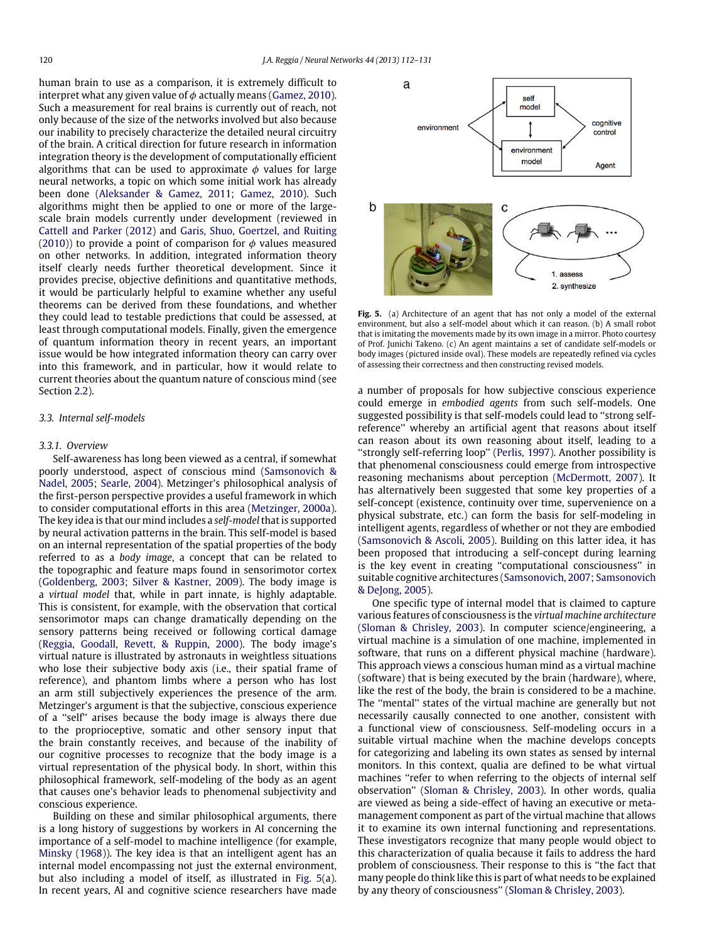human brain to use as a comparison, it is extremely difficult to interpret what any given value of  $\phi$  actually means [\(Gamez,](#page-17-36) [2010\)](#page-17-36). Such a measurement for real brains is currently out of reach, not only because of the size of the networks involved but also because our inability to precisely characterize the detailed neural circuitry of the brain. A critical direction for future research in information integration theory is the development of computationally efficient algorithms that can be used to approximate  $\phi$  values for large neural networks, a topic on which some initial work has already been done [\(Aleksander](#page-17-39) [&](#page-17-39) [Gamez,](#page-17-39) [2011;](#page-17-39) [Gamez,](#page-17-36) [2010\)](#page-17-36). Such algorithms might then be applied to one or more of the largescale brain models currently under development (reviewed in [Cattell](#page-17-42) [and](#page-17-42) [Parker](#page-17-42) [\(2012\)](#page-17-42) and [Garis,](#page-18-38) [Shuo,](#page-18-38) [Goertzel,](#page-18-38) [and](#page-18-38) [Ruiting](#page-18-38) [\(2010\)](#page-18-38)) to provide a point of comparison for  $\phi$  values measured on other networks. In addition, integrated information theory itself clearly needs further theoretical development. Since it provides precise, objective definitions and quantitative methods, it would be particularly helpful to examine whether any useful theorems can be derived from these foundations, and whether they could lead to testable predictions that could be assessed, at least through computational models. Finally, given the emergence of quantum information theory in recent years, an important issue would be how integrated information theory can carry over into this framework, and in particular, how it would relate to current theories about the quantum nature of conscious mind (see Section [2.2\)](#page-2-0).

#### *3.3. Internal self-models*

#### *3.3.1. Overview*

Self-awareness has long been viewed as a central, if somewhat poorly understood, aspect of conscious mind [\(Samsonovich](#page-19-30) [&](#page-19-30) [Nadel,](#page-19-30) [2005;](#page-19-30) [Searle,](#page-19-0) [2004\)](#page-19-0). Metzinger's philosophical analysis of the first-person perspective provides a useful framework in which to consider computational efforts in this area [\(Metzinger,](#page-18-39) [2000a\)](#page-18-39). The key idea is that our mind includes a *self-model*that is supported by neural activation patterns in the brain. This self-model is based on an internal representation of the spatial properties of the body referred to as a *body image*, a concept that can be related to the topographic and feature maps found in sensorimotor cortex [\(Goldenberg,](#page-18-40) [2003;](#page-18-40) [Silver](#page-19-31) [&](#page-19-31) [Kastner,](#page-19-31) [2009\)](#page-19-31). The body image is a *virtual model* that, while in part innate, is highly adaptable. This is consistent, for example, with the observation that cortical sensorimotor maps can change dramatically depending on the sensory patterns being received or following cortical damage [\(Reggia,](#page-18-41) [Goodall,](#page-18-41) [Revett,](#page-18-41) [&](#page-18-41) [Ruppin,](#page-18-41) [2000\)](#page-18-41). The body image's virtual nature is illustrated by astronauts in weightless situations who lose their subjective body axis (i.e., their spatial frame of reference), and phantom limbs where a person who has lost an arm still subjectively experiences the presence of the arm. Metzinger's argument is that the subjective, conscious experience of a ''self'' arises because the body image is always there due to the proprioceptive, somatic and other sensory input that the brain constantly receives, and because of the inability of our cognitive processes to recognize that the body image is a virtual representation of the physical body. In short, within this philosophical framework, self-modeling of the body as an agent that causes one's behavior leads to phenomenal subjectivity and conscious experience.

Building on these and similar philosophical arguments, there is a long history of suggestions by workers in AI concerning the importance of a self-model to machine intelligence (for example, [Minsky](#page-18-42) [\(1968\)](#page-18-42)). The key idea is that an intelligent agent has an internal model encompassing not just the external environment, but also including a model of itself, as illustrated in [Fig. 5\(](#page-8-0)a). In recent years, AI and cognitive science researchers have made

<span id="page-8-0"></span>

**Fig. 5.** (a) Architecture of an agent that has not only a model of the external environment, but also a self-model about which it can reason. (b) A small robot that is imitating the movements made by its own image in a mirror. Photo courtesy of Prof. Junichi Takeno. (c) An agent maintains a set of candidate self-models or body images (pictured inside oval). These models are repeatedly refined via cycles of assessing their correctness and then constructing revised models.

a number of proposals for how subjective conscious experience could emerge in *embodied agents* from such self-models. One suggested possibility is that self-models could lead to ''strong selfreference'' whereby an artificial agent that reasons about itself can reason about its own reasoning about itself, leading to a ''strongly self-referring loop'' [\(Perlis,](#page-18-43) [1997\)](#page-18-43). Another possibility is that phenomenal consciousness could emerge from introspective reasoning mechanisms about perception [\(McDermott,](#page-18-44) [2007\)](#page-18-44). It has alternatively been suggested that some key properties of a self-concept (existence, continuity over time, supervenience on a physical substrate, etc.) can form the basis for self-modeling in intelligent agents, regardless of whether or not they are embodied [\(Samsonovich](#page-19-32) [&](#page-19-32) [Ascoli,](#page-19-32) [2005\)](#page-19-32). Building on this latter idea, it has been proposed that introducing a self-concept during learning is the key event in creating "computational consciousness" in suitable cognitive architectures [\(Samsonovich,](#page-19-33) [2007;](#page-19-33) [Samsonovich](#page-19-34) [&](#page-19-34) [DeJong,](#page-19-34) [2005\)](#page-19-34).

One specific type of internal model that is claimed to capture various features of consciousness is the *virtual machine architecture* [\(Sloman](#page-19-22) [&](#page-19-22) [Chrisley,](#page-19-22) [2003\)](#page-19-22). In computer science/engineering, a virtual machine is a simulation of one machine, implemented in software, that runs on a different physical machine (hardware). This approach views a conscious human mind as a virtual machine (software) that is being executed by the brain (hardware), where, like the rest of the body, the brain is considered to be a machine. The ''mental'' states of the virtual machine are generally but not necessarily causally connected to one another, consistent with a functional view of consciousness. Self-modeling occurs in a suitable virtual machine when the machine develops concepts for categorizing and labeling its own states as sensed by internal monitors. In this context, qualia are defined to be what virtual machines ''refer to when referring to the objects of internal self observation'' [\(Sloman](#page-19-22) [&](#page-19-22) [Chrisley,](#page-19-22) [2003\)](#page-19-22). In other words, qualia are viewed as being a side-effect of having an executive or metamanagement component as part of the virtual machine that allows it to examine its own internal functioning and representations. These investigators recognize that many people would object to this characterization of qualia because it fails to address the hard problem of consciousness. Their response to this is ''the fact that many people do think like this is part of what needs to be explained by any theory of consciousness'' [\(Sloman](#page-19-22) [&](#page-19-22) [Chrisley,](#page-19-22) [2003\)](#page-19-22).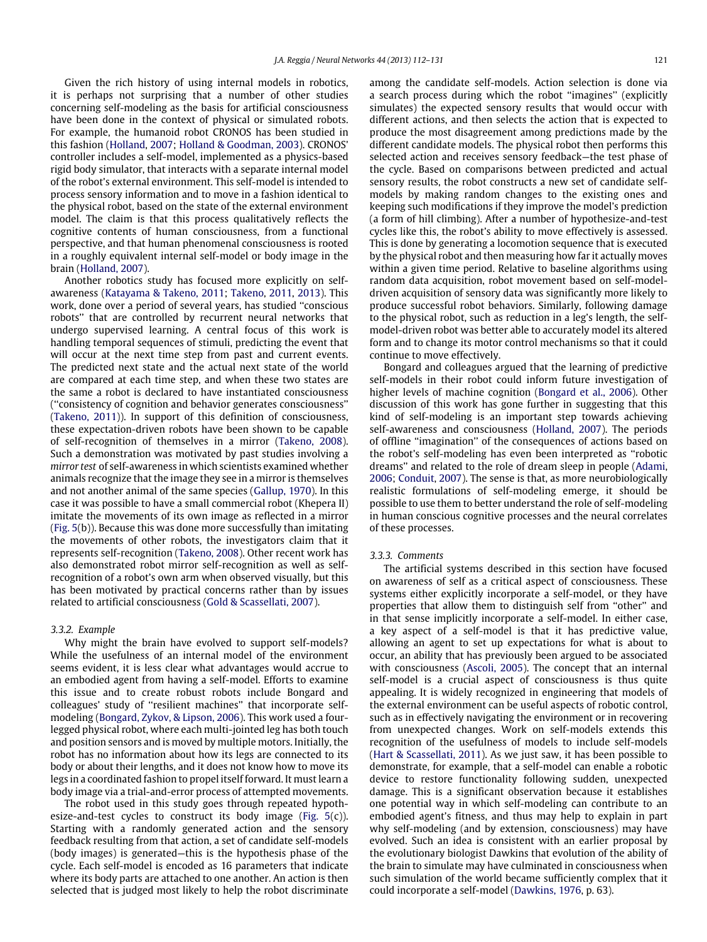Given the rich history of using internal models in robotics, it is perhaps not surprising that a number of other studies concerning self-modeling as the basis for artificial consciousness have been done in the context of physical or simulated robots. For example, the humanoid robot CRONOS has been studied in this fashion [\(Holland,](#page-18-45) [2007;](#page-18-45) [Holland](#page-18-46) [&](#page-18-46) [Goodman,](#page-18-46) [2003\)](#page-18-46). CRONOS' controller includes a self-model, implemented as a physics-based rigid body simulator, that interacts with a separate internal model of the robot's external environment. This self-model is intended to process sensory information and to move in a fashion identical to the physical robot, based on the state of the external environment model. The claim is that this process qualitatively reflects the cognitive contents of human consciousness, from a functional perspective, and that human phenomenal consciousness is rooted in a roughly equivalent internal self-model or body image in the brain [\(Holland,](#page-18-45) [2007\)](#page-18-45).

Another robotics study has focused more explicitly on selfawareness [\(Katayama](#page-18-47) [&](#page-18-47) [Takeno,](#page-18-47) [2011;](#page-18-47) [Takeno,](#page-19-35) [2011,](#page-19-35) [2013\)](#page-19-35). This work, done over a period of several years, has studied ''conscious robots'' that are controlled by recurrent neural networks that undergo supervised learning. A central focus of this work is handling temporal sequences of stimuli, predicting the event that will occur at the next time step from past and current events. The predicted next state and the actual next state of the world are compared at each time step, and when these two states are the same a robot is declared to have instantiated consciousness (''consistency of cognition and behavior generates consciousness'' [\(Takeno,](#page-19-35) [2011\)](#page-19-35)). In support of this definition of consciousness, these expectation-driven robots have been shown to be capable of self-recognition of themselves in a mirror [\(Takeno,](#page-19-36) [2008\)](#page-19-36). Such a demonstration was motivated by past studies involving a *mirror test* of self-awareness in which scientists examined whether animals recognize that the image they see in a mirror is themselves and not another animal of the same species [\(Gallup,](#page-17-43) [1970\)](#page-17-43). In this case it was possible to have a small commercial robot (Khepera II) imitate the movements of its own image as reflected in a mirror [\(Fig. 5\(](#page-8-0)b)). Because this was done more successfully than imitating the movements of other robots, the investigators claim that it represents self-recognition [\(Takeno,](#page-19-36) [2008\)](#page-19-36). Other recent work has also demonstrated robot mirror self-recognition as well as selfrecognition of a robot's own arm when observed visually, but this has been motivated by practical concerns rather than by issues related to artificial consciousness [\(Gold](#page-18-48) [&](#page-18-48) [Scassellati,](#page-18-48) [2007\)](#page-18-48).

#### *3.3.2. Example*

Why might the brain have evolved to support self-models? While the usefulness of an internal model of the environment seems evident, it is less clear what advantages would accrue to an embodied agent from having a self-model. Efforts to examine this issue and to create robust robots include Bongard and colleagues' study of ''resilient machines'' that incorporate selfmodeling [\(Bongard,](#page-17-44) [Zykov,](#page-17-44) [&](#page-17-44) [Lipson,](#page-17-44) [2006\)](#page-17-44). This work used a fourlegged physical robot, where each multi-jointed leg has both touch and position sensors and is moved by multiple motors. Initially, the robot has no information about how its legs are connected to its body or about their lengths, and it does not know how to move its legs in a coordinated fashion to propel itself forward. It must learn a body image via a trial-and-error process of attempted movements.

The robot used in this study goes through repeated hypothesize-and-test cycles to construct its body image (Fig.  $5(c)$ ). Starting with a randomly generated action and the sensory feedback resulting from that action, a set of candidate self-models (body images) is generated—this is the hypothesis phase of the cycle. Each self-model is encoded as 16 parameters that indicate where its body parts are attached to one another. An action is then selected that is judged most likely to help the robot discriminate among the candidate self-models. Action selection is done via a search process during which the robot "imagines" (explicitly simulates) the expected sensory results that would occur with different actions, and then selects the action that is expected to produce the most disagreement among predictions made by the different candidate models. The physical robot then performs this selected action and receives sensory feedback—the test phase of the cycle. Based on comparisons between predicted and actual sensory results, the robot constructs a new set of candidate selfmodels by making random changes to the existing ones and keeping such modifications if they improve the model's prediction (a form of hill climbing). After a number of hypothesize-and-test cycles like this, the robot's ability to move effectively is assessed. This is done by generating a locomotion sequence that is executed by the physical robot and then measuring how far it actually moves within a given time period. Relative to baseline algorithms using random data acquisition, robot movement based on self-modeldriven acquisition of sensory data was significantly more likely to produce successful robot behaviors. Similarly, following damage to the physical robot, such as reduction in a leg's length, the selfmodel-driven robot was better able to accurately model its altered form and to change its motor control mechanisms so that it could continue to move effectively.

Bongard and colleagues argued that the learning of predictive self-models in their robot could inform future investigation of higher levels of machine cognition [\(Bongard](#page-17-44) [et al.,](#page-17-44) [2006\)](#page-17-44). Other discussion of this work has gone further in suggesting that this kind of self-modeling is an important step towards achieving self-awareness and consciousness [\(Holland,](#page-18-45) [2007\)](#page-18-45). The periods of offline ''imagination'' of the consequences of actions based on the robot's self-modeling has even been interpreted as ''robotic dreams'' and related to the role of dream sleep in people [\(Adami,](#page-17-45) [2006;](#page-17-45) [Conduit,](#page-17-46) [2007\)](#page-17-46). The sense is that, as more neurobiologically realistic formulations of self-modeling emerge, it should be possible to use them to better understand the role of self-modeling in human conscious cognitive processes and the neural correlates of these processes.

#### *3.3.3. Comments*

The artificial systems described in this section have focused on awareness of self as a critical aspect of consciousness. These systems either explicitly incorporate a self-model, or they have properties that allow them to distinguish self from ''other'' and in that sense implicitly incorporate a self-model. In either case, a key aspect of a self-model is that it has predictive value, allowing an agent to set up expectations for what is about to occur, an ability that has previously been argued to be associated with consciousness [\(Ascoli,](#page-17-47) [2005\)](#page-17-47). The concept that an internal self-model is a crucial aspect of consciousness is thus quite appealing. It is widely recognized in engineering that models of the external environment can be useful aspects of robotic control, such as in effectively navigating the environment or in recovering from unexpected changes. Work on self-models extends this recognition of the usefulness of models to include self-models [\(Hart](#page-18-49) [&](#page-18-49) [Scassellati,](#page-18-49) [2011\)](#page-18-49). As we just saw, it has been possible to demonstrate, for example, that a self-model can enable a robotic device to restore functionality following sudden, unexpected damage. This is a significant observation because it establishes one potential way in which self-modeling can contribute to an embodied agent's fitness, and thus may help to explain in part why self-modeling (and by extension, consciousness) may have evolved. Such an idea is consistent with an earlier proposal by the evolutionary biologist Dawkins that evolution of the ability of the brain to simulate may have culminated in consciousness when such simulation of the world became sufficiently complex that it could incorporate a self-model [\(Dawkins,](#page-17-48) [1976,](#page-17-48) p. 63).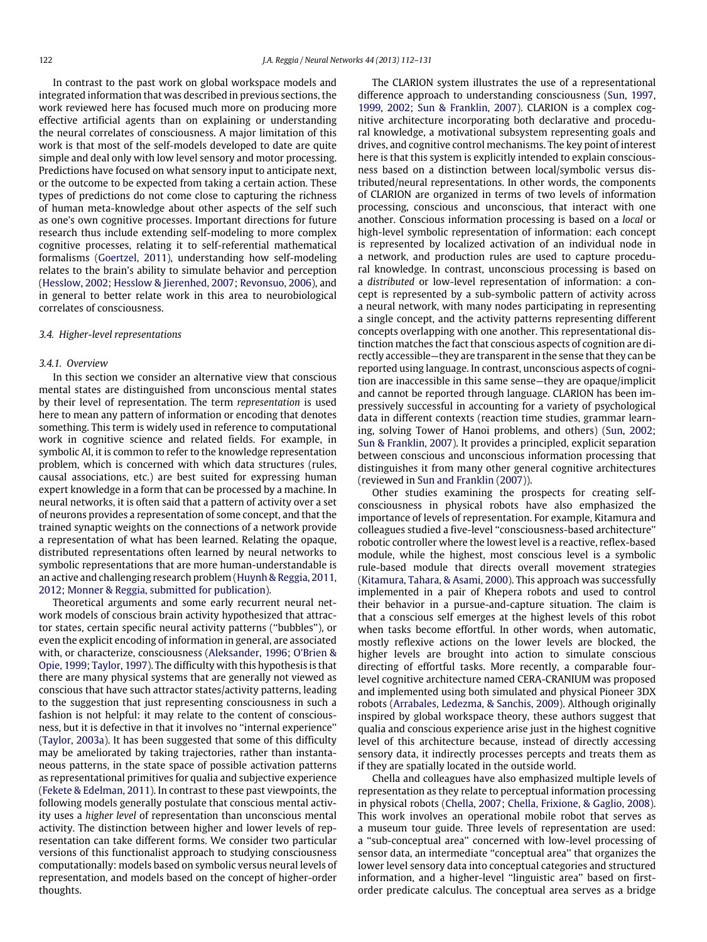In contrast to the past work on global workspace models and integrated information that was described in previous sections, the work reviewed here has focused much more on producing more effective artificial agents than on explaining or understanding the neural correlates of consciousness. A major limitation of this work is that most of the self-models developed to date are quite simple and deal only with low level sensory and motor processing. Predictions have focused on what sensory input to anticipate next, or the outcome to be expected from taking a certain action. These types of predictions do not come close to capturing the richness of human meta-knowledge about other aspects of the self such as one's own cognitive processes. Important directions for future research thus include extending self-modeling to more complex cognitive processes, relating it to self-referential mathematical formalisms [\(Goertzel,](#page-18-50) [2011\)](#page-18-50), understanding how self-modeling relates to the brain's ability to simulate behavior and perception [\(Hesslow,](#page-18-51) [2002;](#page-18-51) [Hesslow](#page-18-52) [&](#page-18-52) [Jierenhed,](#page-18-52) [2007;](#page-18-52) [Revonsuo,](#page-19-37) [2006\)](#page-19-37), and in general to better relate work in this area to neurobiological correlates of consciousness.

#### <span id="page-10-0"></span>*3.4. Higher-level representations*

#### *3.4.1. Overview*

In this section we consider an alternative view that conscious mental states are distinguished from unconscious mental states by their level of representation. The term *representation* is used here to mean any pattern of information or encoding that denotes something. This term is widely used in reference to computational work in cognitive science and related fields. For example, in symbolic AI, it is common to refer to the knowledge representation problem, which is concerned with which data structures (rules, causal associations, etc.) are best suited for expressing human expert knowledge in a form that can be processed by a machine. In neural networks, it is often said that a pattern of activity over a set of neurons provides a representation of some concept, and that the trained synaptic weights on the connections of a network provide a representation of what has been learned. Relating the opaque, distributed representations often learned by neural networks to symbolic representations that are more human-understandable is an active and challenging research problem [\(Huynh&Reggia,](#page-18-53) [2011,](#page-18-53) [2012;](#page-18-54) [Monner](#page-18-55) [&](#page-18-55) [Reggia,](#page-18-55) [submitted for publication\)](#page-18-55).

Theoretical arguments and some early recurrent neural network models of conscious brain activity hypothesized that attractor states, certain specific neural activity patterns (''bubbles''), or even the explicit encoding of information in general, are associated with, or characterize, consciousness [\(Aleksander,](#page-17-49) [1996;](#page-17-49) [O'Brien](#page-18-56) [&](#page-18-56) [Opie,](#page-18-56) [1999;](#page-18-56) [Taylor,](#page-19-38) [1997\)](#page-19-38). The difficulty with this hypothesis is that there are many physical systems that are generally not viewed as conscious that have such attractor states/activity patterns, leading to the suggestion that just representing consciousness in such a fashion is not helpful: it may relate to the content of consciousness, but it is defective in that it involves no ''internal experience'' [\(Taylor,](#page-19-6) [2003a\)](#page-19-6). It has been suggested that some of this difficulty may be ameliorated by taking trajectories, rather than instantaneous patterns, in the state space of possible activation patterns as representational primitives for qualia and subjective experience [\(Fekete](#page-17-50) [&](#page-17-50) [Edelman,](#page-17-50) [2011\)](#page-17-50). In contrast to these past viewpoints, the following models generally postulate that conscious mental activity uses a *higher level* of representation than unconscious mental activity. The distinction between higher and lower levels of representation can take different forms. We consider two particular versions of this functionalist approach to studying consciousness computationally: models based on symbolic versus neural levels of representation, and models based on the concept of higher-order thoughts.

The CLARION system illustrates the use of a representational difference approach to understanding consciousness [\(Sun,](#page-19-39) [1997,](#page-19-39) [1999,](#page-19-39) [2002;](#page-19-39) [Sun](#page-19-40) [&](#page-19-40) [Franklin,](#page-19-40) [2007\)](#page-19-40). CLARION is a complex cognitive architecture incorporating both declarative and procedural knowledge, a motivational subsystem representing goals and drives, and cognitive control mechanisms. The key point of interest here is that this system is explicitly intended to explain consciousness based on a distinction between local/symbolic versus distributed/neural representations. In other words, the components of CLARION are organized in terms of two levels of information processing, conscious and unconscious, that interact with one another. Conscious information processing is based on a *local* or high-level symbolic representation of information: each concept is represented by localized activation of an individual node in a network, and production rules are used to capture procedural knowledge. In contrast, unconscious processing is based on a *distributed* or low-level representation of information: a concept is represented by a sub-symbolic pattern of activity across a neural network, with many nodes participating in representing a single concept, and the activity patterns representing different concepts overlapping with one another. This representational distinction matches the fact that conscious aspects of cognition are directly accessible—they are transparent in the sense that they can be reported using language. In contrast, unconscious aspects of cognition are inaccessible in this same sense—they are opaque/implicit and cannot be reported through language. CLARION has been impressively successful in accounting for a variety of psychological data in different contexts (reaction time studies, grammar learning, solving Tower of Hanoi problems, and others) [\(Sun,](#page-19-41) [2002;](#page-19-41) [Sun](#page-19-5) [&](#page-19-5) [Franklin,](#page-19-5) [2007\)](#page-19-5). It provides a principled, explicit separation between conscious and unconscious information processing that distinguishes it from many other general cognitive architectures (reviewed in [Sun](#page-19-5) [and](#page-19-5) [Franklin](#page-19-5) [\(2007\)](#page-19-5)).

Other studies examining the prospects for creating selfconsciousness in physical robots have also emphasized the importance of levels of representation. For example, Kitamura and colleagues studied a five-level ''consciousness-based architecture'' robotic controller where the lowest level is a reactive, reflex-based module, while the highest, most conscious level is a symbolic rule-based module that directs overall movement strategies [\(Kitamura,](#page-18-57) [Tahara,](#page-18-57) [&](#page-18-57) [Asami,](#page-18-57) [2000\)](#page-18-57). This approach was successfully implemented in a pair of Khepera robots and used to control their behavior in a pursue-and-capture situation. The claim is that a conscious self emerges at the highest levels of this robot when tasks become effortful. In other words, when automatic, mostly reflexive actions on the lower levels are blocked, the higher levels are brought into action to simulate conscious directing of effortful tasks. More recently, a comparable fourlevel cognitive architecture named CERA-CRANIUM was proposed and implemented using both simulated and physical Pioneer 3DX robots [\(Arrabales,](#page-17-51) [Ledezma,](#page-17-51) [&](#page-17-51) [Sanchis,](#page-17-51) [2009\)](#page-17-51). Although originally inspired by global workspace theory, these authors suggest that qualia and conscious experience arise just in the highest cognitive level of this architecture because, instead of directly accessing sensory data, it indirectly processes percepts and treats them as if they are spatially located in the outside world.

Chella and colleagues have also emphasized multiple levels of representation as they relate to perceptual information processing in physical robots [\(Chella,](#page-17-52) [2007;](#page-17-52) [Chella,](#page-17-53) [Frixione,](#page-17-53) [&](#page-17-53) [Gaglio,](#page-17-53) [2008\)](#page-17-53). This work involves an operational mobile robot that serves as a museum tour guide. Three levels of representation are used: a ''sub-conceptual area'' concerned with low-level processing of sensor data, an intermediate ''conceptual area'' that organizes the lower level sensory data into conceptual categories and structured information, and a higher-level ''linguistic area'' based on firstorder predicate calculus. The conceptual area serves as a bridge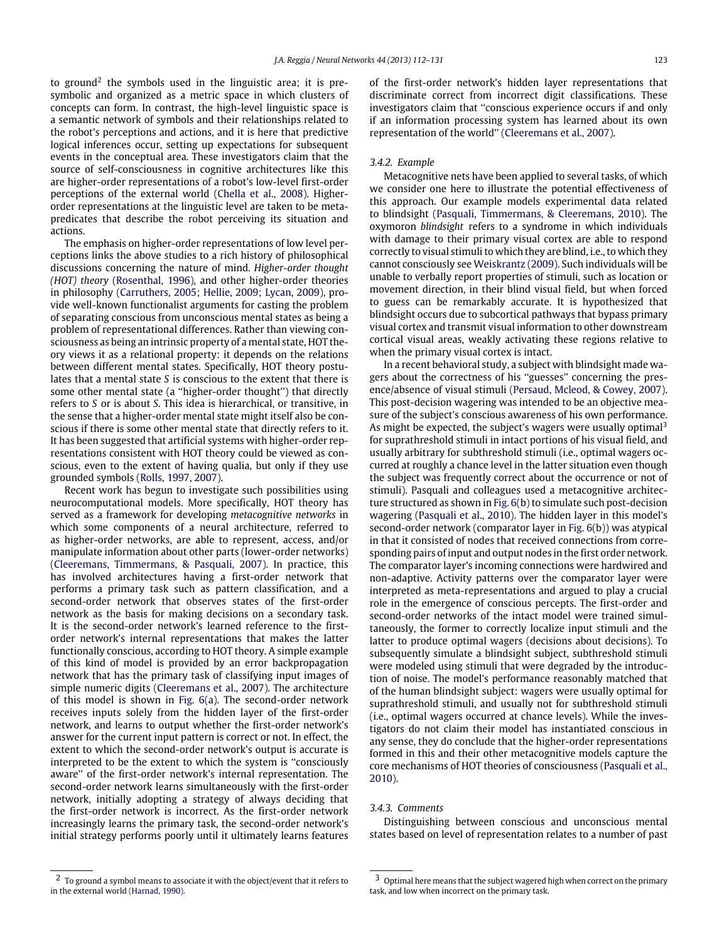to ground<sup>[2](#page-11-0)</sup> the symbols used in the linguistic area; it is presymbolic and organized as a metric space in which clusters of concepts can form. In contrast, the high-level linguistic space is a semantic network of symbols and their relationships related to the robot's perceptions and actions, and it is here that predictive logical inferences occur, setting up expectations for subsequent events in the conceptual area. These investigators claim that the source of self-consciousness in cognitive architectures like this are higher-order representations of a robot's low-level first-order perceptions of the external world [\(Chella](#page-17-53) [et al.,](#page-17-53) [2008\)](#page-17-53). Higherorder representations at the linguistic level are taken to be metapredicates that describe the robot perceiving its situation and actions.

The emphasis on higher-order representations of low level perceptions links the above studies to a rich history of philosophical discussions concerning the nature of mind. *Higher-order thought (HOT) theory* [\(Rosenthal,](#page-19-42) [1996\)](#page-19-42), and other higher-order theories in philosophy [\(Carruthers,](#page-17-54) [2005;](#page-17-54) [Hellie,](#page-18-58) [2009;](#page-18-58) [Lycan,](#page-18-59) [2009\)](#page-18-59), provide well-known functionalist arguments for casting the problem of separating conscious from unconscious mental states as being a problem of representational differences. Rather than viewing consciousness as being an intrinsic property of a mental state, HOT theory views it as a relational property: it depends on the relations between different mental states. Specifically, HOT theory postulates that a mental state *S* is conscious to the extent that there is some other mental state (a ''higher-order thought'') that directly refers to *S* or is about *S*. This idea is hierarchical, or transitive, in the sense that a higher-order mental state might itself also be conscious if there is some other mental state that directly refers to it. It has been suggested that artificial systems with higher-order representations consistent with HOT theory could be viewed as conscious, even to the extent of having qualia, but only if they use grounded symbols [\(Rolls,](#page-19-43) [1997,](#page-19-43) [2007\)](#page-19-43).

Recent work has begun to investigate such possibilities using neurocomputational models. More specifically, HOT theory has served as a framework for developing *metacognitive networks* in which some components of a neural architecture, referred to as higher-order networks, are able to represent, access, and/or manipulate information about other parts (lower-order networks) [\(Cleeremans,](#page-17-55) [Timmermans,](#page-17-55) [&](#page-17-55) [Pasquali,](#page-17-55) [2007\)](#page-17-55). In practice, this has involved architectures having a first-order network that performs a primary task such as pattern classification, and a second-order network that observes states of the first-order network as the basis for making decisions on a secondary task. It is the second-order network's learned reference to the firstorder network's internal representations that makes the latter functionally conscious, according to HOT theory. A simple example of this kind of model is provided by an error backpropagation network that has the primary task of classifying input images of simple numeric digits [\(Cleeremans](#page-17-55) [et al.,](#page-17-55) [2007\)](#page-17-55). The architecture of this model is shown in [Fig. 6\(](#page-12-0)a). The second-order network receives inputs solely from the hidden layer of the first-order network, and learns to output whether the first-order network's answer for the current input pattern is correct or not. In effect, the extent to which the second-order network's output is accurate is interpreted to be the extent to which the system is ''consciously aware'' of the first-order network's internal representation. The second-order network learns simultaneously with the first-order network, initially adopting a strategy of always deciding that the first-order network is incorrect. As the first-order network increasingly learns the primary task, the second-order network's initial strategy performs poorly until it ultimately learns features of the first-order network's hidden layer representations that discriminate correct from incorrect digit classifications. These investigators claim that ''conscious experience occurs if and only if an information processing system has learned about its own representation of the world'' [\(Cleeremans](#page-17-55) [et al.,](#page-17-55) [2007\)](#page-17-55).

#### *3.4.2. Example*

Metacognitive nets have been applied to several tasks, of which we consider one here to illustrate the potential effectiveness of this approach. Our example models experimental data related to blindsight [\(Pasquali,](#page-18-61) [Timmermans,](#page-18-61) [&](#page-18-61) [Cleeremans,](#page-18-61) [2010\)](#page-18-61). The oxymoron *blindsight* refers to a syndrome in which individuals with damage to their primary visual cortex are able to respond correctly to visual stimuli to which they are blind, i.e., to which they cannot consciously see [Weiskrantz](#page-19-44) [\(2009\)](#page-19-44). Such individuals will be unable to verbally report properties of stimuli, such as location or movement direction, in their blind visual field, but when forced to guess can be remarkably accurate. It is hypothesized that blindsight occurs due to subcortical pathways that bypass primary visual cortex and transmit visual information to other downstream cortical visual areas, weakly activating these regions relative to when the primary visual cortex is intact.

In a recent behavioral study, a subject with blindsight made wagers about the correctness of his ''guesses'' concerning the presence/absence of visual stimuli [\(Persaud,](#page-18-62) [Mcleod,](#page-18-62) [&](#page-18-62) [Cowey,](#page-18-62) [2007\)](#page-18-62). This post-decision wagering was intended to be an objective measure of the subject's conscious awareness of his own performance. As might be expected, the subject's wagers were usually optimal<sup>[3](#page-11-1)</sup> for suprathreshold stimuli in intact portions of his visual field, and usually arbitrary for subthreshold stimuli (i.e., optimal wagers occurred at roughly a chance level in the latter situation even though the subject was frequently correct about the occurrence or not of stimuli). Pasquali and colleagues used a metacognitive architecture structured as shown in [Fig. 6\(](#page-12-0)b) to simulate such post-decision wagering [\(Pasquali](#page-18-61) [et al.,](#page-18-61) [2010\)](#page-18-61). The hidden layer in this model's second-order network (comparator layer in [Fig. 6\(](#page-12-0)b)) was atypical in that it consisted of nodes that received connections from corresponding pairs of input and output nodes in the first order network. The comparator layer's incoming connections were hardwired and non-adaptive. Activity patterns over the comparator layer were interpreted as meta-representations and argued to play a crucial role in the emergence of conscious percepts. The first-order and second-order networks of the intact model were trained simultaneously, the former to correctly localize input stimuli and the latter to produce optimal wagers (decisions about decisions). To subsequently simulate a blindsight subject, subthreshold stimuli were modeled using stimuli that were degraded by the introduction of noise. The model's performance reasonably matched that of the human blindsight subject: wagers were usually optimal for suprathreshold stimuli, and usually not for subthreshold stimuli (i.e., optimal wagers occurred at chance levels). While the investigators do not claim their model has instantiated conscious in any sense, they do conclude that the higher-order representations formed in this and their other metacognitive models capture the core mechanisms of HOT theories of consciousness [\(Pasquali](#page-18-61) [et al.,](#page-18-61) [2010\)](#page-18-61).

# *3.4.3. Comments*

Distinguishing between conscious and unconscious mental states based on level of representation relates to a number of past

<span id="page-11-0"></span><sup>2</sup> To ground a symbol means to associate it with the object/event that it refers to in the external world [\(Harnad,](#page-18-60) [1990\)](#page-18-60).

<span id="page-11-1"></span> $\,$  3  $\,$  Optimal here means that the subject wagered high when correct on the primary task, and low when incorrect on the primary task.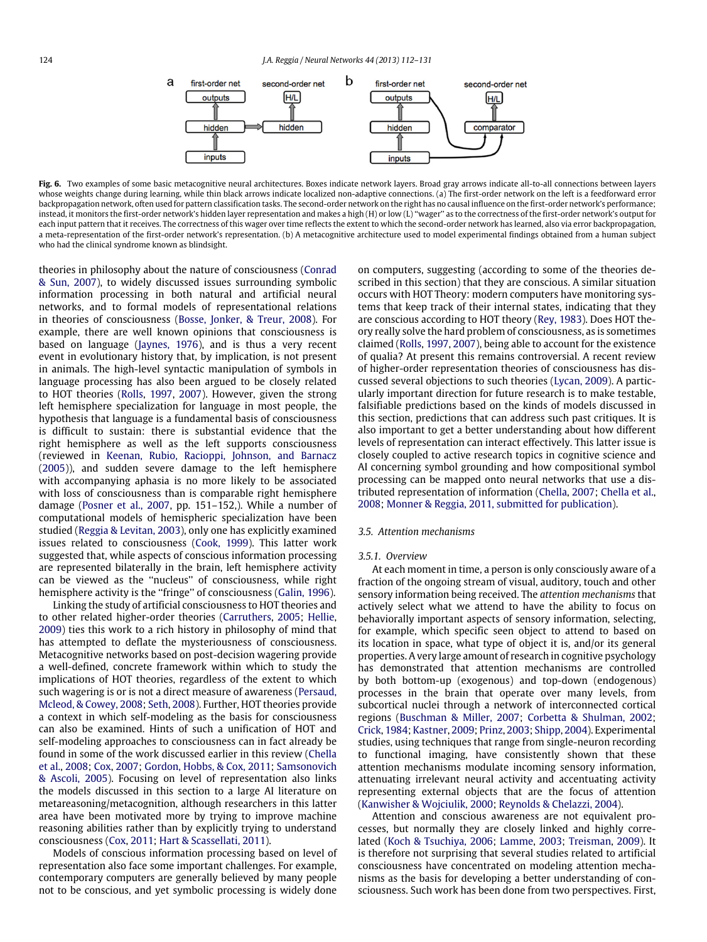

<span id="page-12-0"></span>Fig. 6. Two examples of some basic metacognitive neural architectures. Boxes indicate network layers. Broad gray arrows indicate all-to-all connections between layers whose weights change during learning, while thin black arrows indicate localized non-adaptive connections. (a) The first-order network on the left is a feedforward error backpropagation network, often used for pattern classification tasks. The second-order network on the right has no causal influence on the first-order network's performance; instead, it monitors the first-order network's hidden layer representation and makes a high (H) or low (L) ''wager'' as to the correctness of the first-order network's output for each input pattern that it receives. The correctness of this wager over time reflects the extent to which the second-order network has learned, also via error backpropagation a meta-representation of the first-order network's representation. (b) A metacognitive architecture used to model experimental findings obtained from a human subject who had the clinical syndrome known as blindsight.

theories in philosophy about the nature of consciousness [\(Conrad](#page-17-56) [&](#page-17-56) [Sun,](#page-17-56) [2007\)](#page-17-56), to widely discussed issues surrounding symbolic information processing in both natural and artificial neural networks, and to formal models of representational relations in theories of consciousness [\(Bosse,](#page-17-57) [Jonker,](#page-17-57) [&](#page-17-57) [Treur,](#page-17-57) [2008\)](#page-17-57). For example, there are well known opinions that consciousness is based on language [\(Jaynes,](#page-18-63) [1976\)](#page-18-63), and is thus a very recent event in evolutionary history that, by implication, is not present in animals. The high-level syntactic manipulation of symbols in language processing has also been argued to be closely related to HOT theories [\(Rolls,](#page-19-43) [1997,](#page-19-43) [2007\)](#page-19-43). However, given the strong left hemisphere specialization for language in most people, the hypothesis that language is a fundamental basis of consciousness is difficult to sustain: there is substantial evidence that the right hemisphere as well as the left supports consciousness (reviewed in [Keenan,](#page-18-64) [Rubio,](#page-18-64) [Racioppi,](#page-18-64) [Johnson,](#page-18-64) [and](#page-18-64) [Barnacz](#page-18-64) [\(2005\)](#page-18-64)), and sudden severe damage to the left hemisphere with accompanying aphasia is no more likely to be associated with loss of consciousness than is comparable right hemisphere damage [\(Posner](#page-18-16) [et al.,](#page-18-16) [2007,](#page-18-16) pp. 151–152,). While a number of computational models of hemispheric specialization have been studied [\(Reggia](#page-19-45) [&](#page-19-45) [Levitan,](#page-19-45) [2003\)](#page-19-45), only one has explicitly examined issues related to consciousness [\(Cook,](#page-17-58) [1999\)](#page-17-58). This latter work suggested that, while aspects of conscious information processing are represented bilaterally in the brain, left hemisphere activity can be viewed as the ''nucleus'' of consciousness, while right hemisphere activity is the "fringe" of consciousness [\(Galin,](#page-17-59) [1996\)](#page-17-59).

Linking the study of artificial consciousness to HOT theories and to other related higher-order theories [\(Carruthers,](#page-17-54) [2005;](#page-17-54) [Hellie,](#page-18-58) [2009\)](#page-18-58) ties this work to a rich history in philosophy of mind that has attempted to deflate the mysteriousness of consciousness. Metacognitive networks based on post-decision wagering provide a well-defined, concrete framework within which to study the implications of HOT theories, regardless of the extent to which such wagering is or is not a direct measure of awareness [\(Persaud,](#page-18-65) [Mcleod,](#page-18-65) [&](#page-18-65) [Cowey,](#page-18-65) [2008;](#page-18-65) [Seth,](#page-19-46) [2008\)](#page-19-46). Further, HOT theories provide a context in which self-modeling as the basis for consciousness can also be examined. Hints of such a unification of HOT and self-modeling approaches to consciousness can in fact already be found in some of the work discussed earlier in this review [\(Chella](#page-17-53) [et al.,](#page-17-53) [2008;](#page-17-53) [Cox,](#page-17-60) [2007;](#page-17-60) [Gordon,](#page-18-66) [Hobbs,](#page-18-66) [&](#page-18-66) [Cox,](#page-18-66) [2011;](#page-18-66) [Samsonovich](#page-19-32) [&](#page-19-32) [Ascoli,](#page-19-32) [2005\)](#page-19-32). Focusing on level of representation also links the models discussed in this section to a large AI literature on metareasoning/metacognition, although researchers in this latter area have been motivated more by trying to improve machine reasoning abilities rather than by explicitly trying to understand consciousness [\(Cox,](#page-17-61) [2011;](#page-17-61) [Hart](#page-18-49) [&](#page-18-49) [Scassellati,](#page-18-49) [2011\)](#page-18-49).

Models of conscious information processing based on level of representation also face some important challenges. For example, contemporary computers are generally believed by many people not to be conscious, and yet symbolic processing is widely done on computers, suggesting (according to some of the theories described in this section) that they are conscious. A similar situation occurs with HOT Theory: modern computers have monitoring systems that keep track of their internal states, indicating that they are conscious according to HOT theory [\(Rey,](#page-19-47) [1983\)](#page-19-47). Does HOT theory really solve the hard problem of consciousness, as is sometimes claimed [\(Rolls,](#page-19-43) [1997,](#page-19-43) [2007\)](#page-19-43), being able to account for the existence of qualia? At present this remains controversial. A recent review of higher-order representation theories of consciousness has discussed several objections to such theories [\(Lycan,](#page-18-59) [2009\)](#page-18-59). A particularly important direction for future research is to make testable, falsifiable predictions based on the kinds of models discussed in this section, predictions that can address such past critiques. It is also important to get a better understanding about how different levels of representation can interact effectively. This latter issue is closely coupled to active research topics in cognitive science and AI concerning symbol grounding and how compositional symbol processing can be mapped onto neural networks that use a distributed representation of information [\(Chella,](#page-17-52) [2007;](#page-17-52) [Chella](#page-17-53) [et al.,](#page-17-53) [2008;](#page-17-53) [Monner](#page-18-67) [&](#page-18-67) [Reggia,](#page-18-67) [2011,](#page-18-67) [submitted for publication\)](#page-18-67).

### *3.5. Attention mechanisms*

#### *3.5.1. Overview*

At each moment in time, a person is only consciously aware of a fraction of the ongoing stream of visual, auditory, touch and other sensory information being received. The *attention mechanisms* that actively select what we attend to have the ability to focus on behaviorally important aspects of sensory information, selecting, for example, which specific seen object to attend to based on its location in space, what type of object it is, and/or its general properties. A very large amount of research in cognitive psychology has demonstrated that attention mechanisms are controlled by both bottom-up (exogenous) and top-down (endogenous) processes in the brain that operate over many levels, from subcortical nuclei through a network of interconnected cortical regions [\(Buschman](#page-17-62) [&](#page-17-62) [Miller,](#page-17-62) [2007;](#page-17-62) [Corbetta](#page-17-63) [&](#page-17-63) [Shulman,](#page-17-63) [2002;](#page-17-63) [Crick,](#page-17-64) [1984;](#page-17-64) [Kastner,](#page-18-68) [2009;](#page-18-68) [Prinz,](#page-18-26) [2003;](#page-18-26) [Shipp,](#page-19-48) [2004\)](#page-19-48). Experimental studies, using techniques that range from single-neuron recording to functional imaging, have consistently shown that these attention mechanisms modulate incoming sensory information, attenuating irrelevant neural activity and accentuating activity representing external objects that are the focus of attention [\(Kanwisher](#page-18-69) [&](#page-18-69) [Wojciulik,](#page-18-69) [2000;](#page-18-69) [Reynolds](#page-19-49) [&](#page-19-49) [Chelazzi,](#page-19-49) [2004\)](#page-19-49).

Attention and conscious awareness are not equivalent processes, but normally they are closely linked and highly correlated [\(Koch](#page-18-70) [&](#page-18-70) [Tsuchiya,](#page-18-70) [2006;](#page-18-70) [Lamme,](#page-18-71) [2003;](#page-18-71) [Treisman,](#page-19-50) [2009\)](#page-19-50). It is therefore not surprising that several studies related to artificial consciousness have concentrated on modeling attention mechanisms as the basis for developing a better understanding of consciousness. Such work has been done from two perspectives. First,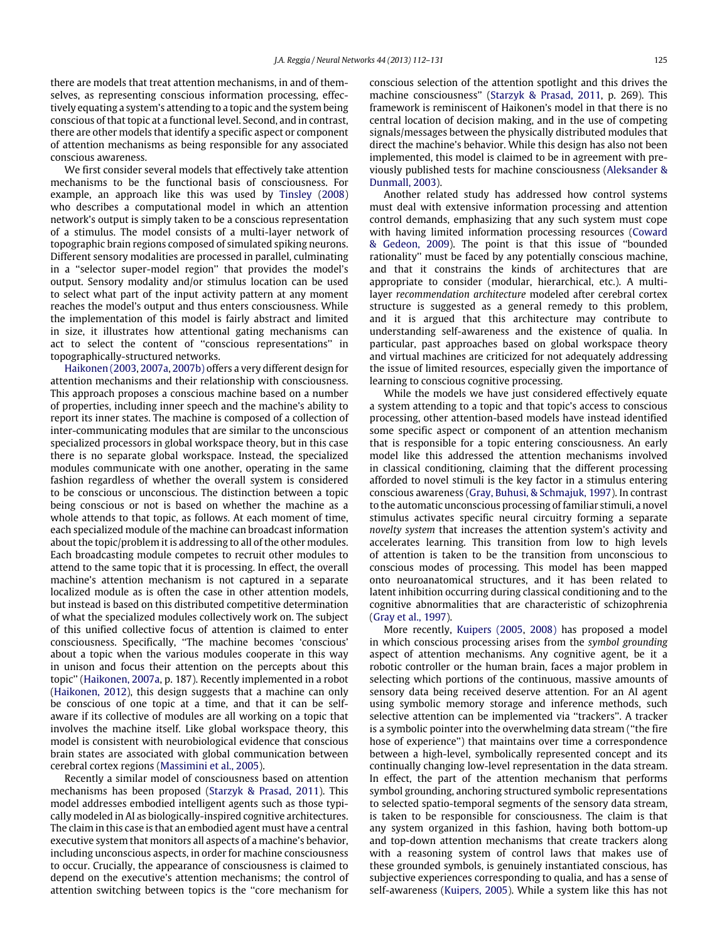there are models that treat attention mechanisms, in and of themselves, as representing conscious information processing, effectively equating a system's attending to a topic and the system being conscious of that topic at a functional level. Second, and in contrast, there are other models that identify a specific aspect or component of attention mechanisms as being responsible for any associated conscious awareness.

We first consider several models that effectively take attention mechanisms to be the functional basis of consciousness. For example, an approach like this was used by [Tinsley](#page-19-51) [\(2008\)](#page-19-51) who describes a computational model in which an attention network's output is simply taken to be a conscious representation of a stimulus. The model consists of a multi-layer network of topographic brain regions composed of simulated spiking neurons. Different sensory modalities are processed in parallel, culminating in a ''selector super-model region'' that provides the model's output. Sensory modality and/or stimulus location can be used to select what part of the input activity pattern at any moment reaches the model's output and thus enters consciousness. While the implementation of this model is fairly abstract and limited in size, it illustrates how attentional gating mechanisms can act to select the content of ''conscious representations'' in topographically-structured networks.

[Haikonen](#page-18-72) [\(2003,](#page-18-72) [2007a,](#page-18-27) [2007b\)](#page-18-73) offers a very different design for attention mechanisms and their relationship with consciousness. This approach proposes a conscious machine based on a number of properties, including inner speech and the machine's ability to report its inner states. The machine is composed of a collection of inter-communicating modules that are similar to the unconscious specialized processors in global workspace theory, but in this case there is no separate global workspace. Instead, the specialized modules communicate with one another, operating in the same fashion regardless of whether the overall system is considered to be conscious or unconscious. The distinction between a topic being conscious or not is based on whether the machine as a whole attends to that topic, as follows. At each moment of time, each specialized module of the machine can broadcast information about the topic/problem it is addressing to all of the other modules. Each broadcasting module competes to recruit other modules to attend to the same topic that it is processing. In effect, the overall machine's attention mechanism is not captured in a separate localized module as is often the case in other attention models, but instead is based on this distributed competitive determination of what the specialized modules collectively work on. The subject of this unified collective focus of attention is claimed to enter consciousness. Specifically, ''The machine becomes 'conscious' about a topic when the various modules cooperate in this way in unison and focus their attention on the percepts about this topic'' [\(Haikonen,](#page-18-27) [2007a,](#page-18-27) p. 187). Recently implemented in a robot [\(Haikonen,](#page-18-2) [2012\)](#page-18-2), this design suggests that a machine can only be conscious of one topic at a time, and that it can be selfaware if its collective of modules are all working on a topic that involves the machine itself. Like global workspace theory, this model is consistent with neurobiological evidence that conscious brain states are associated with global communication between cerebral cortex regions [\(Massimini](#page-18-20) [et al.,](#page-18-20) [2005\)](#page-18-20).

Recently a similar model of consciousness based on attention mechanisms has been proposed [\(Starzyk](#page-19-10) [&](#page-19-10) [Prasad,](#page-19-10) [2011\)](#page-19-10). This model addresses embodied intelligent agents such as those typically modeled in AI as biologically-inspired cognitive architectures. The claim in this case is that an embodied agent must have a central executive system that monitors all aspects of a machine's behavior, including unconscious aspects, in order for machine consciousness to occur. Crucially, the appearance of consciousness is claimed to depend on the executive's attention mechanisms; the control of attention switching between topics is the ''core mechanism for conscious selection of the attention spotlight and this drives the machine consciousness'' [\(Starzyk](#page-19-10) [&](#page-19-10) [Prasad,](#page-19-10) [2011,](#page-19-10) p. 269). This framework is reminiscent of Haikonen's model in that there is no central location of decision making, and in the use of competing signals/messages between the physically distributed modules that direct the machine's behavior. While this design has also not been implemented, this model is claimed to be in agreement with previously published tests for machine consciousness [\(Aleksander](#page-17-15) [&](#page-17-15) [Dunmall,](#page-17-15) [2003\)](#page-17-15).

Another related study has addressed how control systems must deal with extensive information processing and attention control demands, emphasizing that any such system must cope with having limited information processing resources [\(Coward](#page-17-65) [&](#page-17-65) [Gedeon,](#page-17-65) [2009\)](#page-17-65). The point is that this issue of ''bounded rationality'' must be faced by any potentially conscious machine, and that it constrains the kinds of architectures that are appropriate to consider (modular, hierarchical, etc.). A multilayer *recommendation architecture* modeled after cerebral cortex structure is suggested as a general remedy to this problem, and it is argued that this architecture may contribute to understanding self-awareness and the existence of qualia. In particular, past approaches based on global workspace theory and virtual machines are criticized for not adequately addressing the issue of limited resources, especially given the importance of learning to conscious cognitive processing.

While the models we have just considered effectively equate a system attending to a topic and that topic's access to conscious processing, other attention-based models have instead identified some specific aspect or component of an attention mechanism that is responsible for a topic entering consciousness. An early model like this addressed the attention mechanisms involved in classical conditioning, claiming that the different processing afforded to novel stimuli is the key factor in a stimulus entering conscious awareness [\(Gray,](#page-18-74) [Buhusi,](#page-18-74) [&](#page-18-74) [Schmajuk,](#page-18-74) [1997\)](#page-18-74). In contrast to the automatic unconscious processing of familiar stimuli, a novel stimulus activates specific neural circuitry forming a separate *novelty system* that increases the attention system's activity and accelerates learning. This transition from low to high levels of attention is taken to be the transition from unconscious to conscious modes of processing. This model has been mapped onto neuroanatomical structures, and it has been related to latent inhibition occurring during classical conditioning and to the cognitive abnormalities that are characteristic of schizophrenia [\(Gray](#page-18-74) [et al.,](#page-18-74) [1997\)](#page-18-74).

More recently, [Kuipers](#page-18-75) [\(2005,](#page-18-75) [2008\)](#page-18-76) has proposed a model in which conscious processing arises from the *symbol grounding* aspect of attention mechanisms. Any cognitive agent, be it a robotic controller or the human brain, faces a major problem in selecting which portions of the continuous, massive amounts of sensory data being received deserve attention. For an AI agent using symbolic memory storage and inference methods, such selective attention can be implemented via ''trackers''. A tracker is a symbolic pointer into the overwhelming data stream (''the fire hose of experience'') that maintains over time a correspondence between a high-level, symbolically represented concept and its continually changing low-level representation in the data stream. In effect, the part of the attention mechanism that performs symbol grounding, anchoring structured symbolic representations to selected spatio-temporal segments of the sensory data stream, is taken to be responsible for consciousness. The claim is that any system organized in this fashion, having both bottom-up and top-down attention mechanisms that create trackers along with a reasoning system of control laws that makes use of these grounded symbols, is genuinely instantiated conscious, has subjective experiences corresponding to qualia, and has a sense of self-awareness [\(Kuipers,](#page-18-75) [2005\)](#page-18-75). While a system like this has not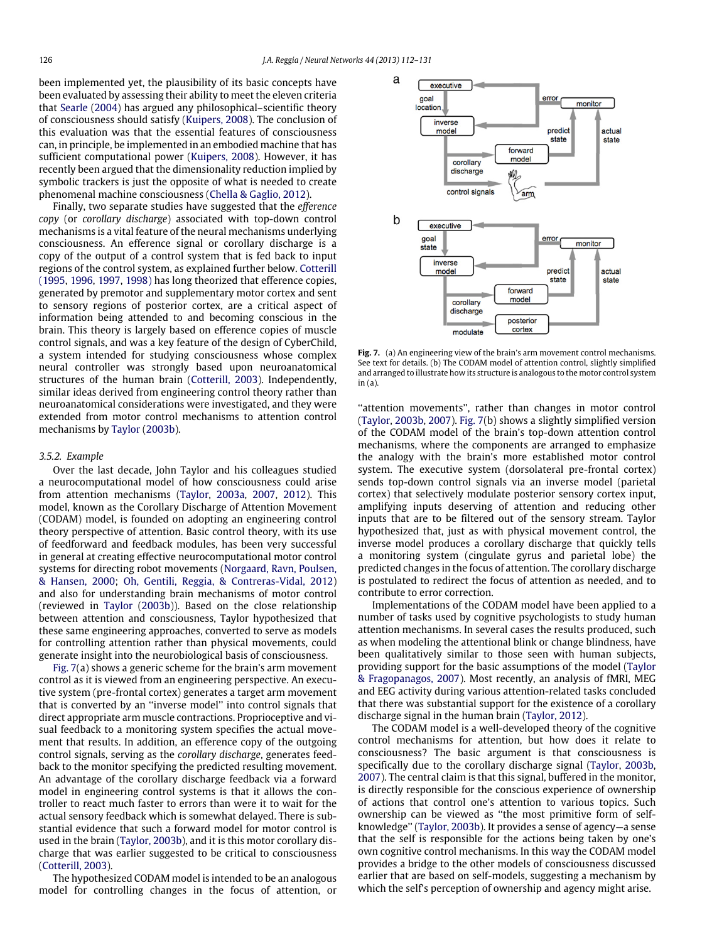been implemented yet, the plausibility of its basic concepts have been evaluated by assessing their ability to meet the eleven criteria that [Searle](#page-19-0) [\(2004\)](#page-19-0) has argued any philosophical–scientific theory of consciousness should satisfy [\(Kuipers,](#page-18-76) [2008\)](#page-18-76). The conclusion of this evaluation was that the essential features of consciousness can, in principle, be implemented in an embodied machine that has sufficient computational power [\(Kuipers,](#page-18-76) [2008\)](#page-18-76). However, it has recently been argued that the dimensionality reduction implied by symbolic trackers is just the opposite of what is needed to create phenomenal machine consciousness [\(Chella](#page-17-66) [&](#page-17-66) [Gaglio,](#page-17-66) [2012\)](#page-17-66).

Finally, two separate studies have suggested that the *efference copy* (or *corollary discharge*) associated with top-down control mechanisms is a vital feature of the neural mechanisms underlying consciousness. An efference signal or corollary discharge is a copy of the output of a control system that is fed back to input regions of the control system, as explained further below. [Cotterill](#page-17-67) [\(1995,](#page-17-67) [1996](#page-17-68)[,](#page-17-69) [1997](#page-17-69)[,](#page-17-70) [1998\)](#page-17-70) has long theorized that efference copies, generated by premotor and supplementary motor cortex and sent to sensory regions of posterior cortex, are a critical aspect of information being attended to and becoming conscious in the brain. This theory is largely based on efference copies of muscle control signals, and was a key feature of the design of CyberChild, a system intended for studying consciousness whose complex neural controller was strongly based upon neuroanatomical structures of the human brain [\(Cotterill,](#page-17-71) [2003\)](#page-17-71). Independently, similar ideas derived from engineering control theory rather than neuroanatomical considerations were investigated, and they were extended from motor control mechanisms to attention control mechanisms by [Taylor](#page-19-52) [\(2003b\)](#page-19-52).

#### *3.5.2. Example*

Over the last decade, John Taylor and his colleagues studied a neurocomputational model of how consciousness could arise from attention mechanisms [\(Taylor,](#page-19-6) [2003a,](#page-19-6) [2007,](#page-19-6) [2012\)](#page-19-6). This model, known as the Corollary Discharge of Attention Movement (CODAM) model, is founded on adopting an engineering control theory perspective of attention. Basic control theory, with its use of feedforward and feedback modules, has been very successful in general at creating effective neurocomputational motor control systems for directing robot movements [\(Norgaard,](#page-18-77) [Ravn,](#page-18-77) [Poulsen,](#page-18-77) [&](#page-18-77) [Hansen,](#page-18-77) [2000;](#page-18-77) [Oh,](#page-18-78) [Gentili,](#page-18-78) [Reggia,](#page-18-78) [&](#page-18-78) [Contreras-Vidal,](#page-18-78) [2012\)](#page-18-78) and also for understanding brain mechanisms of motor control (reviewed in [Taylor](#page-19-52) [\(2003b\)](#page-19-52)). Based on the close relationship between attention and consciousness, Taylor hypothesized that these same engineering approaches, converted to serve as models for controlling attention rather than physical movements, could generate insight into the neurobiological basis of consciousness.

[Fig. 7\(](#page-14-0)a) shows a generic scheme for the brain's arm movement control as it is viewed from an engineering perspective. An executive system (pre-frontal cortex) generates a target arm movement that is converted by an ''inverse model'' into control signals that direct appropriate arm muscle contractions. Proprioceptive and visual feedback to a monitoring system specifies the actual movement that results. In addition, an efference copy of the outgoing control signals, serving as the *corollary discharge*, generates feedback to the monitor specifying the predicted resulting movement. An advantage of the corollary discharge feedback via a forward model in engineering control systems is that it allows the controller to react much faster to errors than were it to wait for the actual sensory feedback which is somewhat delayed. There is substantial evidence that such a forward model for motor control is used in the brain [\(Taylor,](#page-19-52) [2003b\)](#page-19-52), and it is this motor corollary discharge that was earlier suggested to be critical to consciousness [\(Cotterill,](#page-17-71) [2003\)](#page-17-71).

The hypothesized CODAM model is intended to be an analogous model for controlling changes in the focus of attention, or

<span id="page-14-0"></span>

**Fig. 7.** (a) An engineering view of the brain's arm movement control mechanisms. See text for details. (b) The CODAM model of attention control, slightly simplified and arranged to illustrate how its structure is analogous to the motor control system in (a).

''attention movements'', rather than changes in motor control [\(Taylor,](#page-19-52) [2003b,](#page-19-52) [2007\)](#page-19-52). [Fig. 7\(](#page-14-0)b) shows a slightly simplified version of the CODAM model of the brain's top-down attention control mechanisms, where the components are arranged to emphasize the analogy with the brain's more established motor control system. The executive system (dorsolateral pre-frontal cortex) sends top-down control signals via an inverse model (parietal cortex) that selectively modulate posterior sensory cortex input, amplifying inputs deserving of attention and reducing other inputs that are to be filtered out of the sensory stream. Taylor hypothesized that, just as with physical movement control, the inverse model produces a corollary discharge that quickly tells a monitoring system (cingulate gyrus and parietal lobe) the predicted changes in the focus of attention. The corollary discharge is postulated to redirect the focus of attention as needed, and to contribute to error correction.

Implementations of the CODAM model have been applied to a number of tasks used by cognitive psychologists to study human attention mechanisms. In several cases the results produced, such as when modeling the attentional blink or change blindness, have been qualitatively similar to those seen with human subjects, providing support for the basic assumptions of the model [\(Taylor](#page-19-53) [&](#page-19-53) [Fragopanagos,](#page-19-53) [2007\)](#page-19-53). Most recently, an analysis of fMRI, MEG and EEG activity during various attention-related tasks concluded that there was substantial support for the existence of a corollary discharge signal in the human brain [\(Taylor,](#page-19-54) [2012\)](#page-19-54).

The CODAM model is a well-developed theory of the cognitive control mechanisms for attention, but how does it relate to consciousness? The basic argument is that consciousness is specifically due to the corollary discharge signal [\(Taylor,](#page-19-52) [2003b,](#page-19-52) [2007\)](#page-19-52). The central claim is that this signal, buffered in the monitor, is directly responsible for the conscious experience of ownership of actions that control one's attention to various topics. Such ownership can be viewed as ''the most primitive form of selfknowledge'' [\(Taylor,](#page-19-52) [2003b\)](#page-19-52). It provides a sense of agency—a sense that the self is responsible for the actions being taken by one's own cognitive control mechanisms. In this way the CODAM model provides a bridge to the other models of consciousness discussed earlier that are based on self-models, suggesting a mechanism by which the self's perception of ownership and agency might arise.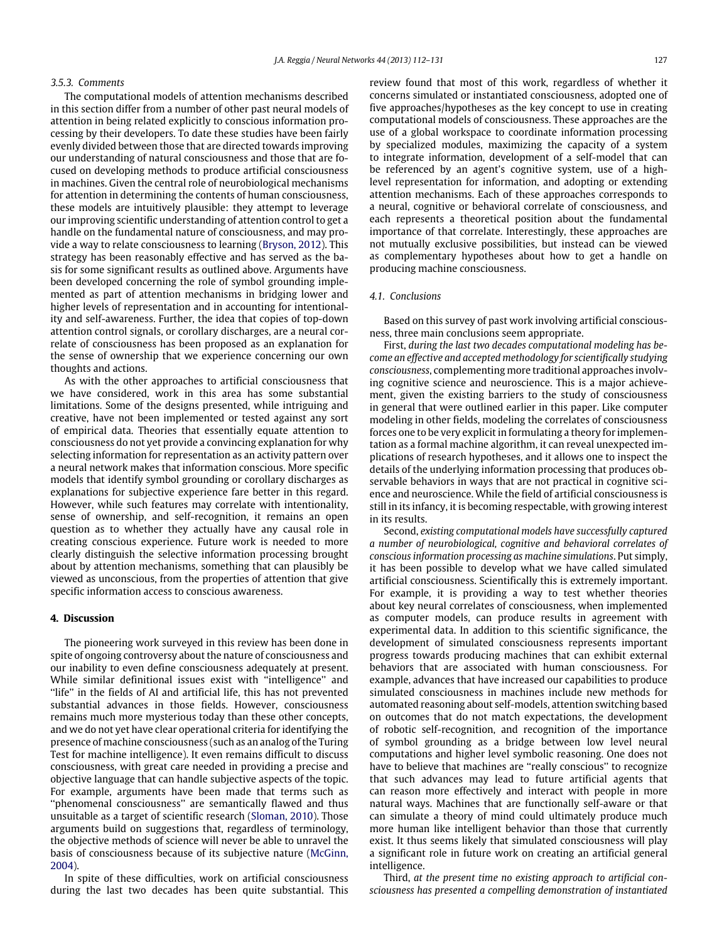#### *3.5.3. Comments*

The computational models of attention mechanisms described in this section differ from a number of other past neural models of attention in being related explicitly to conscious information processing by their developers. To date these studies have been fairly evenly divided between those that are directed towards improving our understanding of natural consciousness and those that are focused on developing methods to produce artificial consciousness in machines. Given the central role of neurobiological mechanisms for attention in determining the contents of human consciousness, these models are intuitively plausible: they attempt to leverage our improving scientific understanding of attention control to get a handle on the fundamental nature of consciousness, and may provide a way to relate consciousness to learning [\(Bryson,](#page-17-72) [2012\)](#page-17-72). This strategy has been reasonably effective and has served as the basis for some significant results as outlined above. Arguments have been developed concerning the role of symbol grounding implemented as part of attention mechanisms in bridging lower and higher levels of representation and in accounting for intentionality and self-awareness. Further, the idea that copies of top-down attention control signals, or corollary discharges, are a neural correlate of consciousness has been proposed as an explanation for the sense of ownership that we experience concerning our own thoughts and actions.

As with the other approaches to artificial consciousness that we have considered, work in this area has some substantial limitations. Some of the designs presented, while intriguing and creative, have not been implemented or tested against any sort of empirical data. Theories that essentially equate attention to consciousness do not yet provide a convincing explanation for why selecting information for representation as an activity pattern over a neural network makes that information conscious. More specific models that identify symbol grounding or corollary discharges as explanations for subjective experience fare better in this regard. However, while such features may correlate with intentionality, sense of ownership, and self-recognition, it remains an open question as to whether they actually have any causal role in creating conscious experience. Future work is needed to more clearly distinguish the selective information processing brought about by attention mechanisms, something that can plausibly be viewed as unconscious, from the properties of attention that give specific information access to conscious awareness.

#### **4. Discussion**

The pioneering work surveyed in this review has been done in spite of ongoing controversy about the nature of consciousness and our inability to even define consciousness adequately at present. While similar definitional issues exist with ''intelligence'' and ''life'' in the fields of AI and artificial life, this has not prevented substantial advances in those fields. However, consciousness remains much more mysterious today than these other concepts, and we do not yet have clear operational criteria for identifying the presence of machine consciousness (such as an analog of the Turing Test for machine intelligence). It even remains difficult to discuss consciousness, with great care needed in providing a precise and objective language that can handle subjective aspects of the topic. For example, arguments have been made that terms such as ''phenomenal consciousness'' are semantically flawed and thus unsuitable as a target of scientific research [\(Sloman,](#page-19-1) [2010\)](#page-19-1). Those arguments build on suggestions that, regardless of terminology, the objective methods of science will never be able to unravel the basis of consciousness because of its subjective nature [\(McGinn,](#page-18-0) [2004\)](#page-18-0).

In spite of these difficulties, work on artificial consciousness during the last two decades has been quite substantial. This review found that most of this work, regardless of whether it concerns simulated or instantiated consciousness, adopted one of five approaches/hypotheses as the key concept to use in creating computational models of consciousness. These approaches are the use of a global workspace to coordinate information processing by specialized modules, maximizing the capacity of a system to integrate information, development of a self-model that can be referenced by an agent's cognitive system, use of a highlevel representation for information, and adopting or extending attention mechanisms. Each of these approaches corresponds to a neural, cognitive or behavioral correlate of consciousness, and each represents a theoretical position about the fundamental importance of that correlate. Interestingly, these approaches are not mutually exclusive possibilities, but instead can be viewed as complementary hypotheses about how to get a handle on producing machine consciousness.

# *4.1. Conclusions*

Based on this survey of past work involving artificial consciousness, three main conclusions seem appropriate.

First, *during the last two decades computational modeling has become an effective and accepted methodology for scientifically studying consciousness*, complementing more traditional approaches involving cognitive science and neuroscience. This is a major achievement, given the existing barriers to the study of consciousness in general that were outlined earlier in this paper. Like computer modeling in other fields, modeling the correlates of consciousness forces one to be very explicit in formulating a theory for implementation as a formal machine algorithm, it can reveal unexpected implications of research hypotheses, and it allows one to inspect the details of the underlying information processing that produces observable behaviors in ways that are not practical in cognitive science and neuroscience. While the field of artificial consciousness is still in its infancy, it is becoming respectable, with growing interest in its results.

Second, *existing computational models have successfully captured a number of neurobiological, cognitive and behavioral correlates of conscious information processing as machine simulations*. Put simply, it has been possible to develop what we have called simulated artificial consciousness. Scientifically this is extremely important. For example, it is providing a way to test whether theories about key neural correlates of consciousness, when implemented as computer models, can produce results in agreement with experimental data. In addition to this scientific significance, the development of simulated consciousness represents important progress towards producing machines that can exhibit external behaviors that are associated with human consciousness. For example, advances that have increased our capabilities to produce simulated consciousness in machines include new methods for automated reasoning about self-models, attention switching based on outcomes that do not match expectations, the development of robotic self-recognition, and recognition of the importance of symbol grounding as a bridge between low level neural computations and higher level symbolic reasoning. One does not have to believe that machines are ''really conscious'' to recognize that such advances may lead to future artificial agents that can reason more effectively and interact with people in more natural ways. Machines that are functionally self-aware or that can simulate a theory of mind could ultimately produce much more human like intelligent behavior than those that currently exist. It thus seems likely that simulated consciousness will play a significant role in future work on creating an artificial general intelligence.

Third, *at the present time no existing approach to artificial consciousness has presented a compelling demonstration of instantiated*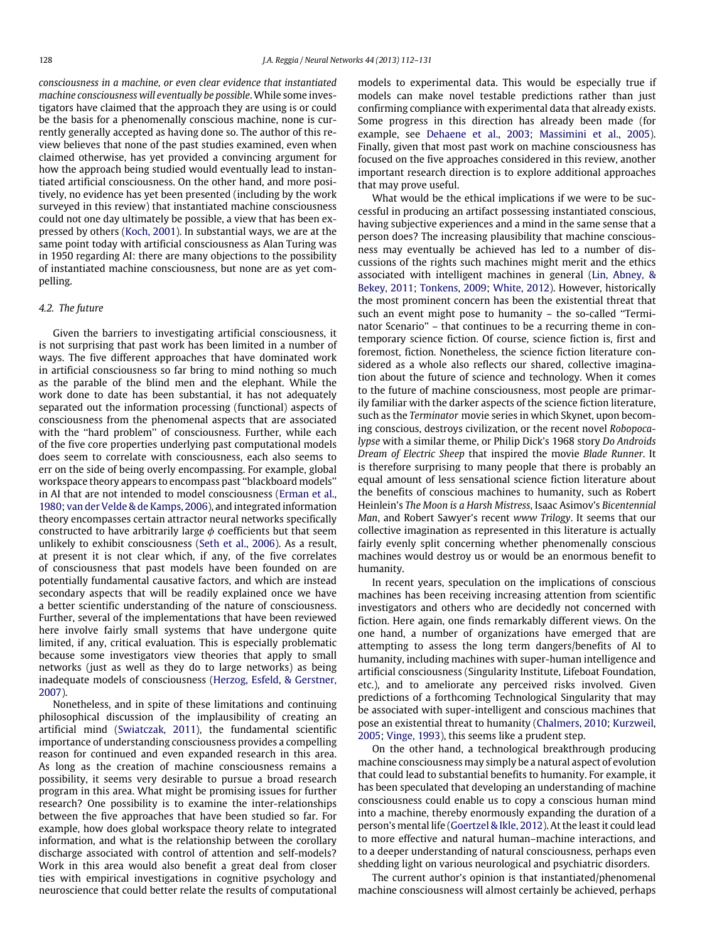*consciousness in a machine, or even clear evidence that instantiated machine consciousness will eventually be possible*. While some investigators have claimed that the approach they are using is or could be the basis for a phenomenally conscious machine, none is currently generally accepted as having done so. The author of this review believes that none of the past studies examined, even when claimed otherwise, has yet provided a convincing argument for how the approach being studied would eventually lead to instantiated artificial consciousness. On the other hand, and more positively, no evidence has yet been presented (including by the work surveyed in this review) that instantiated machine consciousness could not one day ultimately be possible, a view that has been expressed by others [\(Koch,](#page-18-79) [2001\)](#page-18-79). In substantial ways, we are at the same point today with artificial consciousness as Alan Turing was in 1950 regarding AI: there are many objections to the possibility of instantiated machine consciousness, but none are as yet compelling.

# *4.2. The future*

Given the barriers to investigating artificial consciousness, it is not surprising that past work has been limited in a number of ways. The five different approaches that have dominated work in artificial consciousness so far bring to mind nothing so much as the parable of the blind men and the elephant. While the work done to date has been substantial, it has not adequately separated out the information processing (functional) aspects of consciousness from the phenomenal aspects that are associated with the "hard problem" of consciousness. Further, while each of the five core properties underlying past computational models does seem to correlate with consciousness, each also seems to err on the side of being overly encompassing. For example, global workspace theory appears to encompass past ''blackboard models'' in AI that are not intended to model consciousness [\(Erman](#page-17-34) [et al.,](#page-17-34) [1980;](#page-17-34) [van](#page-19-19) [der](#page-19-19) [Velde&de](#page-19-19) [Kamps,](#page-19-19) [2006\)](#page-19-19), and integrated information theory encompasses certain attractor neural networks specifically constructed to have arbitrarily large  $\phi$  coefficients but that seem unlikely to exhibit consciousness [\(Seth](#page-19-29) [et al.,](#page-19-29) [2006\)](#page-19-29). As a result, at present it is not clear which, if any, of the five correlates of consciousness that past models have been founded on are potentially fundamental causative factors, and which are instead secondary aspects that will be readily explained once we have a better scientific understanding of the nature of consciousness. Further, several of the implementations that have been reviewed here involve fairly small systems that have undergone quite limited, if any, critical evaluation. This is especially problematic because some investigators view theories that apply to small networks (just as well as they do to large networks) as being inadequate models of consciousness [\(Herzog,](#page-18-80) [Esfeld,](#page-18-80) [&](#page-18-80) [Gerstner,](#page-18-80) [2007\)](#page-18-80).

Nonetheless, and in spite of these limitations and continuing philosophical discussion of the implausibility of creating an artificial mind [\(Swiatczak,](#page-19-55) [2011\)](#page-19-55), the fundamental scientific importance of understanding consciousness provides a compelling reason for continued and even expanded research in this area. As long as the creation of machine consciousness remains a possibility, it seems very desirable to pursue a broad research program in this area. What might be promising issues for further research? One possibility is to examine the inter-relationships between the five approaches that have been studied so far. For example, how does global workspace theory relate to integrated information, and what is the relationship between the corollary discharge associated with control of attention and self-models? Work in this area would also benefit a great deal from closer ties with empirical investigations in cognitive psychology and neuroscience that could better relate the results of computational models to experimental data. This would be especially true if models can make novel testable predictions rather than just confirming compliance with experimental data that already exists. Some progress in this direction has already been made (for example, see [Dehaene](#page-17-30) [et al.,](#page-17-30) [2003;](#page-17-30) [Massimini](#page-18-20) [et al.,](#page-18-20) [2005\)](#page-18-20). Finally, given that most past work on machine consciousness has focused on the five approaches considered in this review, another important research direction is to explore additional approaches that may prove useful.

What would be the ethical implications if we were to be successful in producing an artifact possessing instantiated conscious, having subjective experiences and a mind in the same sense that a person does? The increasing plausibility that machine consciousness may eventually be achieved has led to a number of discussions of the rights such machines might merit and the ethics associated with intelligent machines in general [\(Lin,](#page-18-81) [Abney,](#page-18-81) [&](#page-18-81) [Bekey,](#page-18-81) [2011;](#page-18-81) [Tonkens,](#page-19-56) [2009;](#page-19-56) [White,](#page-19-57) [2012\)](#page-19-57). However, historically the most prominent concern has been the existential threat that such an event might pose to humanity – the so-called ''Terminator Scenario'' – that continues to be a recurring theme in contemporary science fiction. Of course, science fiction is, first and foremost, fiction. Nonetheless, the science fiction literature considered as a whole also reflects our shared, collective imagination about the future of science and technology. When it comes to the future of machine consciousness, most people are primarily familiar with the darker aspects of the science fiction literature, such as the *Terminator* movie series in which Skynet, upon becoming conscious, destroys civilization, or the recent novel *Robopocalypse* with a similar theme, or Philip Dick's 1968 story *Do Androids Dream of Electric Sheep* that inspired the movie *Blade Runner*. It is therefore surprising to many people that there is probably an equal amount of less sensational science fiction literature about the benefits of conscious machines to humanity, such as Robert Heinlein's *The Moon is a Harsh Mistress*, Isaac Asimov's *Bicentennial Man*, and Robert Sawyer's recent *www Trilogy*. It seems that our collective imagination as represented in this literature is actually fairly evenly split concerning whether phenomenally conscious machines would destroy us or would be an enormous benefit to humanity.

In recent years, speculation on the implications of conscious machines has been receiving increasing attention from scientific investigators and others who are decidedly not concerned with fiction. Here again, one finds remarkably different views. On the one hand, a number of organizations have emerged that are attempting to assess the long term dangers/benefits of AI to humanity, including machines with super-human intelligence and artificial consciousness (Singularity Institute, Lifeboat Foundation, etc.), and to ameliorate any perceived risks involved. Given predictions of a forthcoming Technological Singularity that may be associated with super-intelligent and conscious machines that pose an existential threat to humanity [\(Chalmers,](#page-17-73) [2010;](#page-17-73) [Kurzweil,](#page-18-82) [2005;](#page-18-82) [Vinge,](#page-19-58) [1993\)](#page-19-58), this seems like a prudent step.

On the other hand, a technological breakthrough producing machine consciousness may simply be a natural aspect of evolution that could lead to substantial benefits to humanity. For example, it has been speculated that developing an understanding of machine consciousness could enable us to copy a conscious human mind into a machine, thereby enormously expanding the duration of a person's mental life [\(Goertzel&](#page-18-83) [Ikle,](#page-18-83) [2012\)](#page-18-83). At the least it could lead to more effective and natural human–machine interactions, and to a deeper understanding of natural consciousness, perhaps even shedding light on various neurological and psychiatric disorders.

The current author's opinion is that instantiated/phenomenal machine consciousness will almost certainly be achieved, perhaps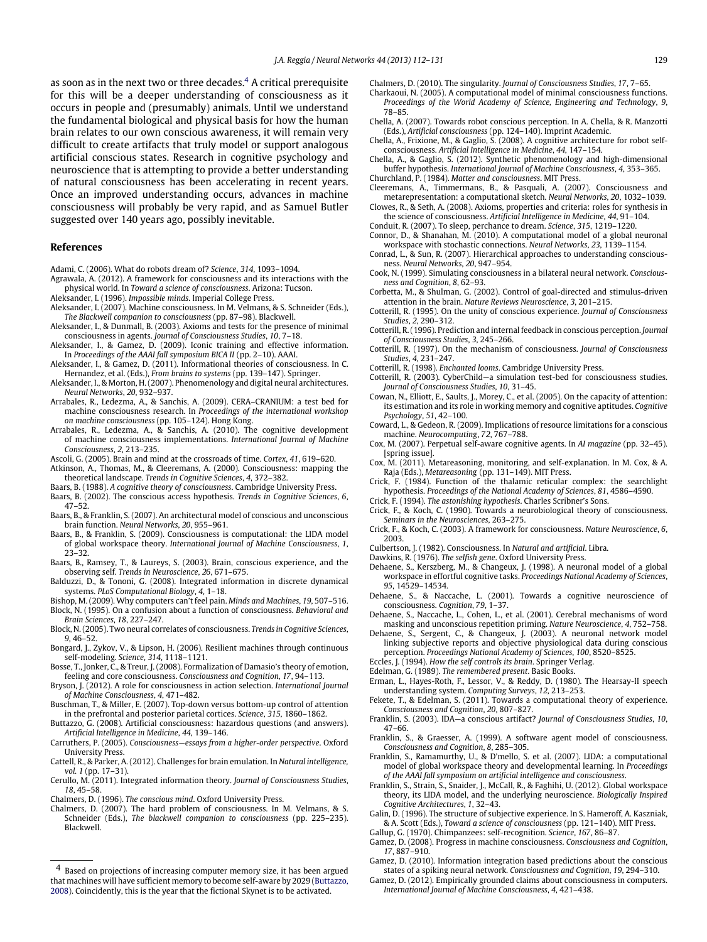as soon as in the next two or three decades.<sup>[4](#page-17-74)</sup> A critical prerequisite for this will be a deeper understanding of consciousness as it occurs in people and (presumably) animals. Until we understand the fundamental biological and physical basis for how the human brain relates to our own conscious awareness, it will remain very difficult to create artifacts that truly model or support analogous artificial conscious states. Research in cognitive psychology and neuroscience that is attempting to provide a better understanding of natural consciousness has been accelerating in recent years. Once an improved understanding occurs, advances in machine consciousness will probably be very rapid, and as Samuel Butler suggested over 140 years ago, possibly inevitable.

#### **References**

- <span id="page-17-45"></span>Adami, C. (2006). What do robots dream of? *Science*, *314*, 1093–1094.
- <span id="page-17-35"></span>Agrawala, A. (2012). A framework for consciousness and its interactions with the physical world. In *Toward a science of consciousness*. Arizona: Tucson.
- <span id="page-17-49"></span>Aleksander, I. (1996). *Impossible minds*. Imperial College Press.
- <span id="page-17-3"></span>Aleksander, I. (2007). Machine consciousness. In M. Velmans, & S. Schneider (Eds.), *The Blackwell companion to consciousness* (pp. 87–98). Blackwell.
- <span id="page-17-15"></span>Aleksander, I., & Dunmall, B. (2003). Axioms and tests for the presence of minimal consciousness in agents. *Journal of Consciousness Studies*, *10*, 7–18.
- <span id="page-17-38"></span>Aleksander, I., & Gamez, D. (2009). Iconic training and effective information. In *Proceedings of the AAAI fall symposium BICA II* (pp. 2–10). AAAI.
- <span id="page-17-39"></span>Aleksander, I., & Gamez, D. (2011). Informational theories of consciousness. In C. Hernandez, et al. (Eds.), *From brains to systems* (pp. 139–147). Springer.
- <span id="page-17-16"></span>Aleksander, I., & Morton, H. (2007). Phenomenology and digital neural architectures. *Neural Networks*, *20*, 932–937.
- <span id="page-17-51"></span>Arrabales, R., Ledezma, A., & Sanchis, A. (2009). CERA–CRANIUM: a test bed for machine consciousness research. In *Proceedings of the international workshop on machine consciousness* (pp. 105–124). Hong Kong.
- <span id="page-17-18"></span>Arrabales, R., Ledezma, A., & Sanchis, A. (2010). The cognitive development of machine consciousness implementations. *International Journal of Machine Consciousness*, *2*, 213–235.
- <span id="page-17-47"></span>Ascoli, G. (2005). Brain and mind at the crossroads of time. *Cortex*, *41*, 619–620.
- <span id="page-17-5"></span>Atkinson, A., Thomas, M., & Cleeremans, A. (2000). Consciousness: mapping the theoretical landscape. *Trends in Cognitive Sciences*, *4*, 372–382.
- <span id="page-17-22"></span>Baars, B. (1988). *A cognitive theory of consciousness*. Cambridge University Press.
- <span id="page-17-13"></span>Baars, B. (2002). The conscious access hypothesis. *Trends in Cognitive Sciences*, *6*,  $47 - 52$ .
- <span id="page-17-23"></span>Baars, B., & Franklin, S. (2007). An architectural model of conscious and unconscious brain function. *Neural Networks*, *20*, 955–961.
- <span id="page-17-27"></span>Baars, B., & Franklin, S. (2009). Consciousness is computational: the LIDA model of global workspace theory. *International Journal of Machine Consciousness*, *1*, 23–32.
- <span id="page-17-12"></span>Baars, B., Ramsey, T., & Laureys, S. (2003). Brain, conscious experience, and the observing self. *Trends in Neuroscience*, *26*, 671–675.
- <span id="page-17-37"></span>Balduzzi, D., & Tononi, G. (2008). Integrated information in discrete dynamical systems. *PLoS Computational Biology*, *4*, 1–18.
- <span id="page-17-21"></span><span id="page-17-1"></span>Bishop, M. (2009). Why computers can't feel pain. *Minds and Machines*, *19*, 507–516. Block, N. (1995). On a confusion about a function of consciousness. *Behavioral and*
- <span id="page-17-9"></span>*Brain Sciences*, *18*, 227–247. Block, N. (2005). Two neural correlates of consciousness. *Trends in Cognitive Sciences*,
- *9*, 46–52.
- <span id="page-17-44"></span>Bongard, J., Zykov, V., & Lipson, H. (2006). Resilient machines through continuous self-modeling. *Science*, *314*, 1118–1121.
- <span id="page-17-57"></span>Bosse, T., Jonker, C., & Treur, J. (2008). Formalization of Damasio's theory of emotion, feeling and core consciousness. *Consciousness and Cognition*, *17*, 94–113.
- <span id="page-17-72"></span>Bryson, J. (2012). A role for consciousness in action selection. *International Journal of Machine Consciousness*, *4*, 471–482.
- <span id="page-17-62"></span>Buschman, T., & Miller, E. (2007). Top-down versus bottom-up control of attention in the prefrontal and posterior parietal cortices. *Science*, *315*, 1860–1862.
- <span id="page-17-75"></span>Buttazzo, G. (2008). Artificial consciousness: hazardous questions (and answers). *Artificial Intelligence in Medicine*, *44*, 139–146.
- <span id="page-17-54"></span>Carruthers, P. (2005). *Consciousness—essays from a higher-order perspective*. Oxford University Press.
- <span id="page-17-42"></span>Cattell, R., & Parker, A. (2012). Challenges for brain emulation. In *Natural intelligence, vol. 1* (pp. 17–31).
- <span id="page-17-41"></span>Cerullo, M. (2011). Integrated information theory. *Journal of Consciousness Studies*, *18*, 45–58.
- <span id="page-17-8"></span>Chalmers, D. (1996). *The conscious mind*. Oxford University Press.
- Chalmers, D. (2007). The hard problem of consciousness. In M. Velmans, & S. Schneider (Eds.), *The blackwell companion to consciousness* (pp. 225–235). Blackwell.

<span id="page-17-73"></span>Chalmers, D. (2010). The singularity. *Journal of Consciousness Studies*, *17*, 7–65.

<span id="page-17-20"></span>Charkaoui, N. (2005). A computational model of minimal consciousness functions. *Proceedings of the World Academy of Science, Engineering and Technology*, *9*, 78–85.

- <span id="page-17-52"></span>Chella, A. (2007). Towards robot conscious perception. In A. Chella, & R. Manzotti (Eds.), *Artificial consciousness* (pp. 124–140). Imprint Academic.
- <span id="page-17-53"></span>Chella, A., Frixione, M., & Gaglio, S. (2008). A cognitive architecture for robot selfconsciousness. *Artificial Intelligence in Medicine*, *44*, 147–154.
- <span id="page-17-66"></span>Chella, A., & Gaglio, S. (2012). Synthetic phenomenology and high-dimensional buffer hypothesis. *International Journal of Machine Consciousness*, *4*, 353–365.
- <span id="page-17-6"></span>Churchland, P. (1984). *Matter and consciousness*. MIT Press.
- <span id="page-17-55"></span>Cleeremans, A., Timmermans, B., & Pasquali, A. (2007). Consciousness and metarepresentation: a computational sketch. *Neural Networks*, *20*, 1032–1039.
- <span id="page-17-17"></span>Clowes, R., & Seth, A. (2008). Axioms, properties and criteria: roles for synthesis in the science of consciousness. *Artificial Intelligence in Medicine*, *44*, 91–104.
- <span id="page-17-46"></span>Conduit, R. (2007). To sleep, perchance to dream. *Science*, *315*, 1219–1220.
- <span id="page-17-31"></span>Connor, D., & Shanahan, M. (2010). A computational model of a global neuronal workspace with stochastic connections. *Neural Networks*, *23*, 1139–1154.
- <span id="page-17-56"></span>Conrad, L., & Sun, R. (2007). Hierarchical approaches to understanding consciousness. *Neural Networks*, *20*, 947–954.
- <span id="page-17-58"></span>Cook, N. (1999). Simulating consciousness in a bilateral neural network. *Consciousness and Cognition*, *8*, 62–93.
- <span id="page-17-63"></span>Corbetta, M., & Shulman, G. (2002). Control of goal-directed and stimulus-driven attention in the brain. *Nature Reviews Neuroscience*, *3*, 201–215.
- <span id="page-17-67"></span>Cotterill, R. (1995). On the unity of conscious experience. *Journal of Consciousness Studies*, *2*, 290–312.
- <span id="page-17-68"></span>Cotterill, R. (1996). Prediction and internal feedback in conscious perception. *Journal of Consciousness Studies*, *3*, 245–266.
- <span id="page-17-69"></span>Cotterill, R. (1997). On the mechanism of consciousness. *Journal of Consciousness Studies*, *4*, 231–247.
- <span id="page-17-70"></span>Cotterill, R. (1998). *Enchanted looms*. Cambridge University Press.
- <span id="page-17-71"></span>Cotterill, R. (2003). CyberChild—a simulation test-bed for consciousness studies. *Journal of Consciousness Studies*, *10*, 31–45.
- <span id="page-17-33"></span>Cowan, N., Elliott, E., Saults, J., Morey, C., et al. (2005). On the capacity of attention: its estimation and its role in working memory and cognitive aptitudes. *Cognitive Psychology*, *51*, 42–100.
- <span id="page-17-65"></span>Coward, L., & Gedeon, R. (2009). Implications of resource limitations for a conscious machine. *Neurocomputing*, *72*, 767–788.
- <span id="page-17-60"></span>Cox, M. (2007). Perpetual self-aware cognitive agents. In *AI magazine* (pp. 32–45). [spring issue].
- <span id="page-17-61"></span>Cox, M. (2011). Metareasoning, monitoring, and self-explanation. In M. Cox, & A. Raja (Eds.), *Metareasoning* (pp. 131–149). MIT Press.
- <span id="page-17-64"></span>Crick, F. (1984). Function of the thalamic reticular complex: the searchlight hypothesis. *Proceedings of the National Academy of Sciences*, *81*, 4586–4590.
- <span id="page-17-0"></span>Crick, F. (1994). *The astonishing hypothesis*. Charles Scribner's Sons.
- <span id="page-17-14"></span>Crick, F., & Koch, C. (1990). Towards a neurobiological theory of consciousness. *Seminars in the Neurosciences*, 263–275.
- <span id="page-17-10"></span>Crick, F., & Koch, C. (2003). A framework for consciousness. *Nature Neuroscience*, *6*, 2003.
- <span id="page-17-2"></span>Culbertson, J. (1982). Consciousness. In *Natural and artificial*. Libra.
- <span id="page-17-48"></span>Dawkins, R. (1976). *The selfish gene*. Oxford University Press.
- <span id="page-17-29"></span>Dehaene, S., Kerszberg, M., & Changeux, J. (1998). A neuronal model of a global workspace in effortful cognitive tasks. *Proceedings National Academy of Sciences*, *95*, 14529–14534.
- <span id="page-17-32"></span>Dehaene, S., & Naccache, L. (2001). Towards a cognitive neuroscience of consciousness. *Cognition*, *79*, 1–37.
- <span id="page-17-11"></span>Dehaene, S., Naccache, L., Cohen, L., et al. (2001). Cerebral mechanisms of word masking and unconscious repetition priming. *Nature Neuroscience*, *4*, 752–758.
- <span id="page-17-30"></span>Dehaene, S., Sergent, C., & Changeux, J. (2003). A neuronal network model linking subjective reports and objective physiological data during conscious perception. *Proceedings National Academy of Sciences*, *100*, 8520–8525.
- <span id="page-17-7"></span>Eccles, J. (1994). *How the self controls its brain*. Springer Verlag.
- <span id="page-17-40"></span>Edelman, G. (1989). *The remembered present*. Basic Books.
- <span id="page-17-34"></span>Erman, L., Hayes-Roth, F., Lessor, V., & Reddy, D. (1980). The Hearsay-II speech understanding system. *Computing Surveys*, *12*, 213–253.
- <span id="page-17-50"></span>Fekete, T., & Edelman, S. (2011). Towards a computational theory of experience. *Consciousness and Cognition*, *20*, 807–827.
- <span id="page-17-24"></span>Franklin, S. (2003). IDA—a conscious artifact? *Journal of Consciousness Studies*, *10*, 47–66.
- <span id="page-17-25"></span>Franklin, S., & Graesser, A. (1999). A software agent model of consciousness. *Consciousness and Cognition*, *8*, 285–305.
- <span id="page-17-28"></span>Franklin, S., Ramamurthy, U., & D'mello, S. et al. (2007). LIDA: a computational model of global workspace theory and developmental learning. In *Proceedings of the AAAI fall symposium on artificial intelligence and consciousness*.
- <span id="page-17-26"></span>Franklin, S., Strain, S., Snaider, J., McCall, R., & Faghihi, U. (2012). Global workspace theory, its LIDA model, and the underlying neuroscience. *Biologically Inspired Cognitive Architectures*, *1*, 32–43.
- <span id="page-17-59"></span>Galin, D. (1996). The structure of subjective experience. In S. Hameroff, A. Kaszniak, & A. Scott (Eds.), *Toward a science of consciousness* (pp. 121–140). MIT Press.
- <span id="page-17-43"></span>Gallup, G. (1970). Chimpanzees: self-recognition. *Science*, *167*, 86–87.
- <span id="page-17-4"></span>Gamez, D. (2008). Progress in machine consciousness. *Consciousness and Cognition*, *17*, 887–910.
- <span id="page-17-36"></span>Gamez, D. (2010). Information integration based predictions about the conscious states of a spiking neural network. *Consciousness and Cognition*, *19*, 294–310.
- <span id="page-17-19"></span>Gamez, D. (2012). Empirically grounded claims about consciousness in computers. *International Journal of Machine Consciousness*, *4*, 421–438.

<span id="page-17-74"></span><sup>&</sup>lt;sup>4</sup> Based on projections of increasing computer memory size, it has been argued that machines will have sufficient memory to become self-aware by 2029 [\(Buttazzo,](#page-17-75) [2008\)](#page-17-75). Coincidently, this is the year that the fictional Skynet is to be activated.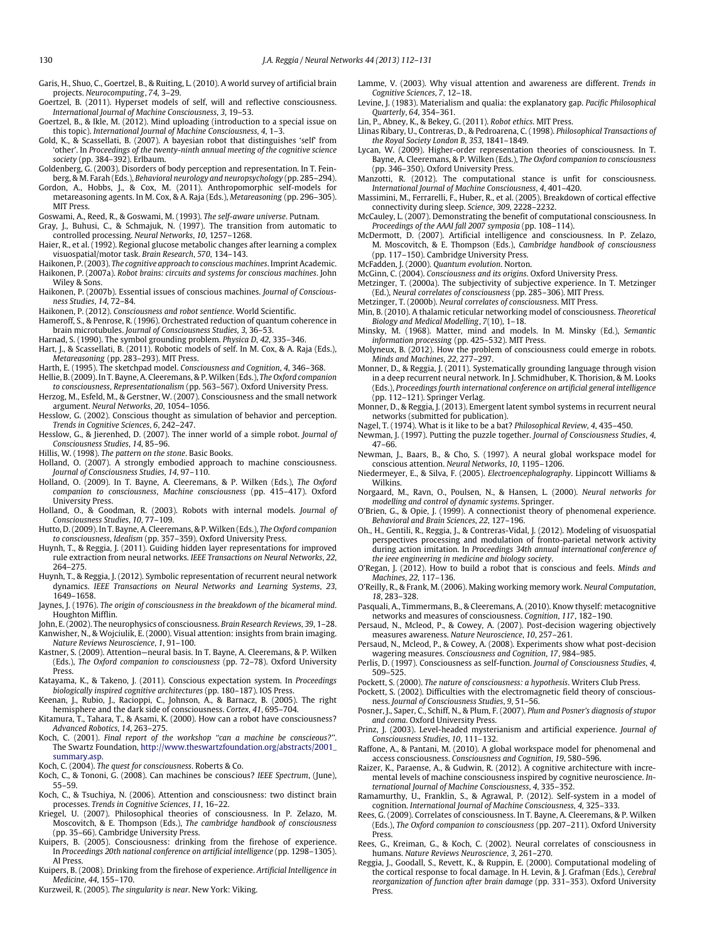<span id="page-18-38"></span>Garis, H., Shuo, C., Goertzel, B., & Ruiting, L. (2010). A world survey of artificial brain projects. *Neurocomputing*, *74*, 3–29.

<span id="page-18-50"></span>Goertzel, B. (2011). Hyperset models of self, will and reflective consciousness. *International Journal of Machine Consciousness*, *3*, 19–53.

- <span id="page-18-83"></span>Goertzel, B., & Ikle, M. (2012). Mind uploading (introduction to a special issue on this topic). *International Journal of Machine Consciousness*, *4*, 1–3.
- <span id="page-18-48"></span>Gold, K., & Scassellati, B. (2007). A bayesian robot that distinguishes 'self' from 'other'. In *Proceedings of the twenty-ninth annual meeting of the cognitive science society* (pp. 384–392). Erlbaum.

<span id="page-18-40"></span>Goldenberg, G. (2003). Disorders of body perception and representation. In T. Feinberg, & M. Farah (Eds.), *Behavioral neurology and neuropsychology* (pp. 285–294).

- <span id="page-18-66"></span>Gordon, A., Hobbs, J., & Cox, M. (2011). Anthropomorphic self-models for metareasoning agents. In M. Cox, & A. Raja (Eds.), *Metareasoning* (pp. 296–305). MIT Press.
- <span id="page-18-4"></span>Goswami, A., Reed, R., & Goswami, M. (1993). *The self-aware universe*. Putnam.
- <span id="page-18-74"></span>Gray, J., Buhusi, C., & Schmajuk, N. (1997). The transition from automatic to
- <span id="page-18-18"></span>controlled processing. *Neural Networks*, *10*, 1257–1268. Haier, R., et al. (1992). Regional glucose metabolic changes after learning a complex
- <span id="page-18-72"></span>visuospatial/motor task. *Brain Research*, *570*, 134–143. Haikonen, P. (2003). *The cognitive approach to conscious machines*. Imprint Academic.
- <span id="page-18-27"></span>Haikonen, P. (2007a). *Robot brains: circuits and systems for conscious machines*. John Wiley & Sons.
- <span id="page-18-73"></span>Haikonen, P. (2007b). Essential issues of conscious machines. *Journal of Consciousness Studies*, *14*, 72–84.
- <span id="page-18-25"></span><span id="page-18-2"></span>Haikonen, P. (2012). *Consciousness and robot sentience*. World Scientific. Hameroff, S., & Penrose, R. (1996). Orchestrated reduction of quantum coherence in brain microtubules. *Journal of Consciousness Studies*, *3*, 36–53.
- <span id="page-18-60"></span>Harnad, S. (1990). The symbol grounding problem. *Physica D*, *42*, 335–346.
- <span id="page-18-49"></span>Hart, J., & Scassellati, B. (2011). Robotic models of self. In M. Cox, & A. Raja (Eds.), *Metareasoning* (pp. 283–293). MIT Press.
- <span id="page-18-34"></span>Harth, E. (1995). The sketchpad model. *Consciousness and Cognition*, *4*, 346–368.

<span id="page-18-58"></span>Hellie, B. (2009). In T. Bayne, A. Cleeremans, & P. Wilken (Eds.), *The Oxford companion to consciousness*, *Representationalism* (pp. 563–567). Oxford University Press.

- <span id="page-18-80"></span>Herzog, M., Esfeld, M., & Gerstner, W. (2007). Consciousness and the small network argument. *Neural Networks*, *20*, 1054–1056.
- <span id="page-18-51"></span>Hesslow, G. (2002). Conscious thought as simulation of behavior and perception. *Trends in Cognitive Sciences*, *6*, 242–247.
- <span id="page-18-52"></span>Hesslow, G., & Jierenhed, D. (2007). The inner world of a simple robot. *Journal of Consciousness Studies*, *14*, 85–96.
- <span id="page-18-6"></span>Hillis, W. (1998). *The pattern on the stone*. Basic Books.
- <span id="page-18-45"></span>Holland, O. (2007). A strongly embodied approach to machine consciousness. *Journal of Consciousness Studies*, *14*, 97–110.
- <span id="page-18-1"></span>Holland, O. (2009). In T. Bayne, A. Cleeremans, & P. Wilken (Eds.), *The Oxford companion to consciousness*, *Machine consciousness* (pp. 415–417). Oxford University Press.
- <span id="page-18-46"></span>Holland, O., & Goodman, R. (2003). Robots with internal models. *Journal of Consciousness Studies*, *10*, 77–109.
- <span id="page-18-5"></span>Hutto, D. (2009). In T. Bayne, A. Cleeremans, & P.Wilken (Eds.), *The Oxford companion to consciousness*, *Idealism* (pp. 357–359). Oxford University Press.
- <span id="page-18-53"></span>Huynh, T., & Reggia, J. (2011). Guiding hidden layer representations for improved rule extraction from neural networks. *IEEE Transactions on Neural Networks*, *22*, 264–275.
- <span id="page-18-54"></span>Huynh, T., & Reggia, J. (2012). Symbolic representation of recurrent neural network dynamics. *IEEE Transactions on Neural Networks and Learning Systems*, *23*, 1649–1658.
- <span id="page-18-63"></span>Jaynes, J. (1976). *The origin of consciousness in the breakdown of the bicameral mind*. Houghton Mifflin.
- <span id="page-18-69"></span><span id="page-18-21"></span>John, E. (2002). The neurophysics of consciousness. *Brain Research Reviews*, *39*, 1–28. Kanwisher, N., & Wojciulik, E. (2000). Visual attention: insights from brain imaging. *Nature Reviews Neuroscience*, *1*, 91–100.
- <span id="page-18-68"></span>Kastner, S. (2009). Attention—neural basis. In T. Bayne, A. Cleeremans, & P. Wilken (Eds.), *The Oxford companion to consciousness* (pp. 72–78). Oxford University Press.
- <span id="page-18-47"></span>Katayama, K., & Takeno, J. (2011). Conscious expectation system. In *Proceedings biologically inspired cognitive architectures* (pp. 180–187). IOS Press.
- <span id="page-18-64"></span>Keenan, J., Rubio, J., Racioppi, C., Johnson, A., & Barnacz, B. (2005). The right hemisphere and the dark side of consciousness. *Cortex*, *41*, 695–704.
- <span id="page-18-57"></span>Kitamura, T., Tahara, T., & Asami, K. (2000). How can a robot have consciousness? *Advanced Robotics*, *14*, 263–275.
- <span id="page-18-79"></span>Koch, C. (2001). *Final report of the workshop ''can a machine be conscieous?''*. The Swartz Foundation, [http://www.theswartzfoundation.org/abstracts/2001\\_](http://www.theswartzfoundation.org/abstracts/2001_summary.asp) [summary.asp.](http://www.theswartzfoundation.org/abstracts/2001_summary.asp)
- <span id="page-18-9"></span>Koch, C. (2004). *The quest for consciousness*. Roberts & Co.
- <span id="page-18-17"></span>Koch, C., & Tononi, G. (2008). Can machines be conscious? *IEEE Spectrum*, (June), 55–59.
- <span id="page-18-70"></span>Koch, C., & Tsuchiya, N. (2006). Attention and consciousness: two distinct brain processes. *Trends in Cognitive Sciences*, *11*, 16–22.
- <span id="page-18-3"></span>Kriegel, U. (2007). Philosophical theories of consciousness. In P. Zelazo, M. Moscovitch, & E. Thompson (Eds.), *The cambridge handbook of consciousness* (pp. 35–66). Cambridge University Press.
- <span id="page-18-75"></span>Kuipers, B. (2005). Consciousness: drinking from the firehose of experience. In *Proceedings 20th national conference on artificial intelligence* (pp. 1298–1305). AI Press.
- <span id="page-18-76"></span>Kuipers, B. (2008). Drinking from the firehose of experience. *Artificial Intelligence in Medicine*, *44*, 155–170.
- <span id="page-18-82"></span>Kurzweil, R. (2005). *The singularity is near*. New York: Viking.
- <span id="page-18-71"></span>Lamme, V. (2003). Why visual attention and awareness are different. *Trends in Cognitive Sciences*, *7*, 12–18.
- <span id="page-18-8"></span>Levine, J. (1983). Materialism and qualia: the explanatory gap. *Pacific Philosophical Quarterly*, *64*, 354–361.
- <span id="page-18-81"></span>Lin, P., Abney, K., & Bekey, G. (2011). *Robot ethics*. MIT Press.
- <span id="page-18-13"></span>Llinas Ribary, U., Contreras, D., & Pedroarena, C. (1998). *Philosophical Transactions of the Royal Society London B*, *353*, 1841–1849.
- <span id="page-18-59"></span>Lycan, W. (2009). Higher-order representation theories of consciousness. In T. Bayne, A. Cleeremans, & P. Wilken (Eds.), *The Oxford companion to consciousness* (pp. 346–350). Oxford University Press.
- <span id="page-18-37"></span>Manzotti, R. (2012). The computational stance is unfit for consciousness. *International Journal of Machine Consciousness*, *4*, 401–420.
- <span id="page-18-20"></span>Massimini, M., Ferrarelli, F., Huber, R., et al. (2005). Breakdown of cortical effective connectivity during sleep. *Science*, *309*, 2228–2232.
- <span id="page-18-28"></span>McCauley, L. (2007). Demonstrating the benefit of computational consciousness. In *Proceedings of the AAAI fall 2007 symposia* (pp. 108–114).
- <span id="page-18-44"></span>McDermott, D. (2007). Artificial intelligence and consciousness. In P. Zelazo, M. Moscovitch, & E. Thompson (Eds.), *Cambridge handbook of consciousness* (pp. 117–150). Cambridge University Press.
- <span id="page-18-22"></span>McFadden, J. (2000). *Quantum evolution*. Norton.
- <span id="page-18-0"></span>McGinn, C. (2004). *Consciousness and its origins*. Oxford University Press.
- <span id="page-18-39"></span>Metzinger, T. (2000a). The subjectivity of subjective experience. In T. Metzinger (Ed.), *Neural correlates of consciousness* (pp. 285–306). MIT Press.
- <span id="page-18-10"></span>Metzinger, T. (2000b). *Neural correlates of consciousness*. MIT Press.
- <span id="page-18-14"></span>Min, B. (2010). A thalamic reticular networking model of consciousness. *Theoretical Biology and Medical Modelling*, *7*(10), 1–18.
- <span id="page-18-42"></span>Minsky, M. (1968). Matter, mind and models. In M. Minsky (Ed.), *Semantic information processing* (pp. 425–532). MIT Press.
- <span id="page-18-29"></span>Molyneux, B. (2012). How the problem of consciousness could emerge in robots. *Minds and Machines*, *22*, 277–297.
- <span id="page-18-67"></span>Monner, D., & Reggia, J. (2011). Systematically grounding language through vision in a deep recurrent neural network. In J. Schmidhuber, K. Thorision, & M. Looks (Eds.), *Proceedings fourth international conference on artificial general intelligence* (pp. 112–121). Springer Verlag.
- <span id="page-18-55"></span>Monner, D., & Reggia, J. (2013). Emergent latent symbol systems in recurrent neural networks (submitted for publication).
- <span id="page-18-7"></span>Nagel, T. (1974). What is it like to be a bat? *Philosophical Review*, *4*, 435–450.
- <span id="page-18-15"></span>Newman, J. (1997). Putting the puzzle together. *Journal of Consciousness Studies*, *4*, 47–66.
- <span id="page-18-35"></span>Newman, J., Baars, B., & Cho, S. (1997). A neural global workspace model for conscious attention. *Neural Networks*, *10*, 1195–1206.
- <span id="page-18-19"></span>Niedermeyer, E., & Silva, F. (2005). *Electroencephalography*. Lippincott Williams & Wilkins.
- <span id="page-18-77"></span>Norgaard, M., Ravn, O., Poulsen, N., & Hansen, L. (2000). *Neural networks for modelling and control of dynamic systems*. Springer.
- <span id="page-18-56"></span>O'Brien, G., & Opie, J. (1999). A connectionist theory of phenomenal experience. *Behavioral and Brain Sciences*, *22*, 127–196.
- <span id="page-18-78"></span>Oh., H., Gentili, R., Reggia, J., & Contreras-Vidal, J. (2012). Modeling of visuospatial perspectives processing and modulation of fronto-parietal network activity during action imitation. In *Proceedings 34th annual international conference of the ieee engineering in medicine and biology society*.
- <span id="page-18-30"></span>O'Regan, J. (2012). How to build a robot that is conscious and feels. *Minds and Machines*, *22*, 117–136.
- <span id="page-18-36"></span>O'Reilly, R., & Frank, M. (2006). Making working memory work. *Neural Computation*, *18*, 283–328.
- <span id="page-18-61"></span>Pasquali, A., Timmermans, B., & Cleeremans, A. (2010). Know thyself: metacognitive networks and measures of consciousness. *Cognition*, *117*, 182–190.
- <span id="page-18-62"></span>Persaud, N., Mcleod, P., & Cowey, A. (2007). Post-decision wagering objectively measures awareness. *Nature Neuroscience*, *10*, 257–261.
- <span id="page-18-65"></span>Persaud, N., Mcleod, P., & Cowey, A. (2008). Experiments show what post-decision wagering measures. *Consciousness and Cognition*, *17*, 984–985.
- <span id="page-18-43"></span>Perlis, D. (1997). Consciousness as self-function. *Journal of Consciousness Studies*, *4*, 509–525.
- <span id="page-18-23"></span>Pockett, S. (2000). *The nature of consciousness: a hypothesis*. Writers Club Press.
- <span id="page-18-24"></span>Pockett, S. (2002). Difficulties with the electromagnetic field theory of consciousness. *Journal of Consciousness Studies*, *9*, 51–56.
- <span id="page-18-16"></span>Posner, J., Saper, C., Schiff, N., & Plum, F. (2007). *Plum and Posner's diagnosis of stupor and coma*. Oxford University Press.
- <span id="page-18-26"></span>Prinz, J. (2003). Level-headed mysterianism and artificial experience. *Journal of Consciousness Studies*, *10*, 111–132.
- <span id="page-18-33"></span>Raffone, A., & Pantani, M. (2010). A global workspace model for phenomenal and access consciousness. *Consciousness and Cognition*, *19*, 580–596.
- <span id="page-18-31"></span>Raizer, K., Paraense, A., & Gudwin, R. (2012). A cognitive architecture with incremental levels of machine consciousness inspired by cognitive neuroscience. *International Journal of Machine Consciousness*, *4*, 335–352.
- <span id="page-18-32"></span>Ramamurthy, U., Franklin, S., & Agrawal, P. (2012). Self-system in a model of cognition. *International Journal of Machine Consciousness*, *4*, 325–333.
- <span id="page-18-11"></span>Rees, G. (2009). Correlates of consciousness. In T. Bayne, A. Cleeremans, & P. Wilken (Eds.), *The Oxford companion to consciousness* (pp. 207–211). Oxford University Press.
- <span id="page-18-12"></span>Rees, G., Kreiman, G., & Koch, C. (2002). Neural correlates of consciousness in humans. *Nature Reviews Neuroscience*, *3*, 261–270.
- <span id="page-18-41"></span>Reggia, J., Goodall, S., Revett, K., & Ruppin, E. (2000). Computational modeling of the cortical response to focal damage. In H. Levin, & J. Grafman (Eds.), *Cerebral reorganization of function after brain damage* (pp. 331–353). Oxford University Press.